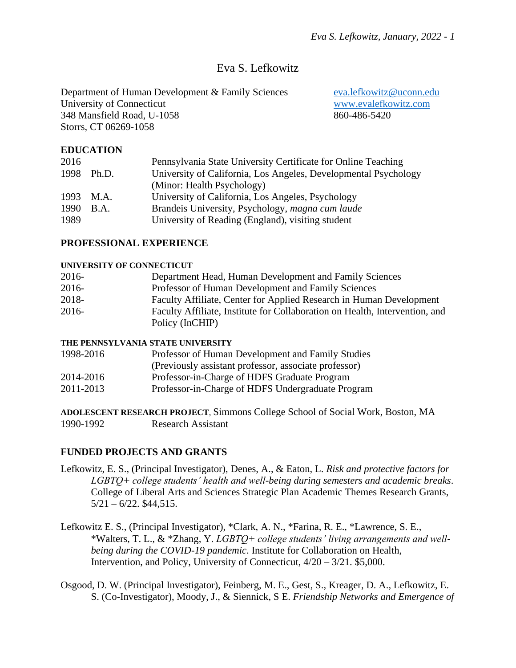# Eva S. Lefkowitz

Department of Human Development & Family Sciences [eva.lefkowitz@uconn.edu](mailto:eva.lefkowitz@uconn.edu) University of Connecticut [www.evalefkowitz.com](http://www.evalefkowitz.com/) 348 Mansfield Road, U-1058 860-486-5420 Storrs, CT 06269-1058

# **EDUCATION**

| 2016 |             | Pennsylvania State University Certificate for Online Teaching   |
|------|-------------|-----------------------------------------------------------------|
| 1998 | Ph.D.       | University of California, Los Angeles, Developmental Psychology |
|      |             | (Minor: Health Psychology)                                      |
| 1993 | M.A.        | University of California, Los Angeles, Psychology               |
| 1990 | <b>B.A.</b> | Brandeis University, Psychology, magna cum laude                |
| 1989 |             | University of Reading (England), visiting student               |
|      |             |                                                                 |

## **PROFESSIONAL EXPERIENCE**

#### **UNIVERSITY OF CONNECTICUT**

| 2016- | Department Head, Human Development and Family Sciences                      |
|-------|-----------------------------------------------------------------------------|
| 2016- | Professor of Human Development and Family Sciences                          |
| 2018- | Faculty Affiliate, Center for Applied Research in Human Development         |
| 2016- | Faculty Affiliate, Institute for Collaboration on Health, Intervention, and |
|       | Policy (InCHIP)                                                             |

#### **THE PENNSYLVANIA STATE UNIVERSITY**

| 1998-2016 | Professor of Human Development and Family Studies     |
|-----------|-------------------------------------------------------|
|           | (Previously assistant professor, associate professor) |
| 2014-2016 | Professor-in-Charge of HDFS Graduate Program          |
| 2011-2013 | Professor-in-Charge of HDFS Undergraduate Program     |
|           |                                                       |

**ADOLESCENT RESEARCH PROJECT**, Simmons College School of Social Work, Boston, MA 1990-1992 Research Assistant

## **FUNDED PROJECTS AND GRANTS**

- Lefkowitz, E. S., (Principal Investigator), Denes, A., & Eaton, L. *Risk and protective factors for LGBTQ+ college students' health and well-being during semesters and academic breaks*. College of Liberal Arts and Sciences Strategic Plan Academic Themes Research Grants,  $5/21 - 6/22$ . \$44,515.
- Lefkowitz E. S., (Principal Investigator), \*Clark, A. N., \*Farina, R. E., \*Lawrence, S. E., \*Walters, T. L., & \*Zhang, Y. *LGBTQ+ college students' living arrangements and wellbeing during the COVID-19 pandemic*. Institute for Collaboration on Health, Intervention, and Policy, University of Connecticut, 4/20 – 3/21. \$5,000.
- Osgood, D. W. (Principal Investigator), Feinberg, M. E., Gest, S., Kreager, D. A., Lefkowitz, E. S. (Co-Investigator), Moody, J., & Siennick, S E. *Friendship Networks and Emergence of*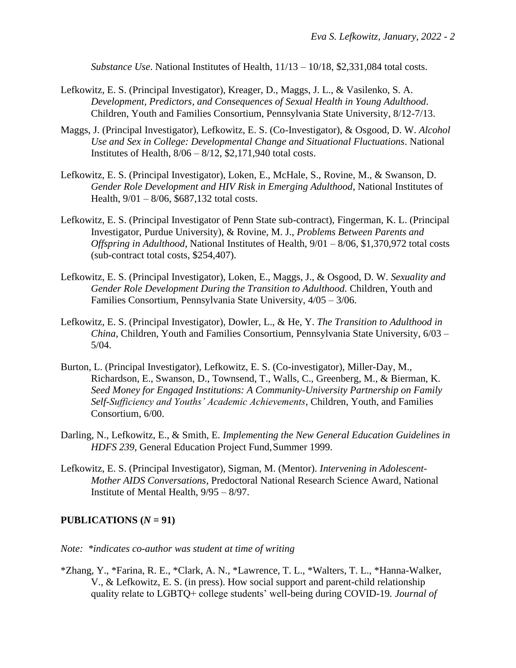*Substance Use*. National Institutes of Health,  $11/13 - 10/18$ , \$2,331,084 total costs.

- Lefkowitz, E. S. (Principal Investigator), Kreager, D., Maggs, J. L., & Vasilenko, S. A. *Development, Predictors, and Consequences of Sexual Health in Young Adulthood*. Children, Youth and Families Consortium, Pennsylvania State University, 8/12-7/13.
- Maggs, J. (Principal Investigator), Lefkowitz, E. S. (Co-Investigator), & Osgood, D. W. *Alcohol Use and Sex in College: Developmental Change and Situational Fluctuations*. National Institutes of Health, 8/06 – 8/12, \$2,171,940 total costs.
- Lefkowitz, E. S. (Principal Investigator), Loken, E., McHale, S., Rovine, M., & Swanson, D. *Gender Role Development and HIV Risk in Emerging Adulthood*, National Institutes of Health, 9/01 – 8/06, \$687,132 total costs.
- Lefkowitz, E. S. (Principal Investigator of Penn State sub-contract), Fingerman, K. L. (Principal Investigator, Purdue University), & Rovine, M. J., *Problems Between Parents and Offspring in Adulthood*, National Institutes of Health, 9/01 – 8/06, \$1,370,972 total costs (sub-contract total costs, \$254,407).
- Lefkowitz, E. S. (Principal Investigator), Loken, E., Maggs, J., & Osgood, D. W. *Sexuality and Gender Role Development During the Transition to Adulthood.* Children, Youth and Families Consortium, Pennsylvania State University, 4/05 – 3/06.
- Lefkowitz, E. S. (Principal Investigator), Dowler, L., & He, Y. *The Transition to Adulthood in China*, Children, Youth and Families Consortium, Pennsylvania State University, 6/03 – 5/04.
- Burton, L. (Principal Investigator), Lefkowitz, E. S. (Co-investigator), Miller-Day, M., Richardson, E., Swanson, D., Townsend, T., Walls, C., Greenberg, M., & Bierman, K. *Seed Money for Engaged Institutions: A Community-University Partnership on Family Self-Sufficiency and Youths' Academic Achievements*, Children, Youth, and Families Consortium, 6/00.
- Darling, N., Lefkowitz, E., & Smith, E. *Implementing the New General Education Guidelines in HDFS 239*, General Education Project Fund, Summer 1999.
- Lefkowitz, E. S. (Principal Investigator), Sigman, M. (Mentor). *Intervening in Adolescent-Mother AIDS Conversations*, Predoctoral National Research Science Award, National Institute of Mental Health, 9/95 – 8/97.

#### **PUBLICATIONS**  $(N = 91)$

*Note: \*indicates co-author was student at time of writing*

\*Zhang, Y., \*Farina, R. E., \*Clark, A. N., \*Lawrence, T. L., \*Walters, T. L., \*Hanna-Walker, V., & Lefkowitz, E. S. (in press). How social support and parent-child relationship quality relate to LGBTQ+ college students' well-being during COVID-19*. Journal of*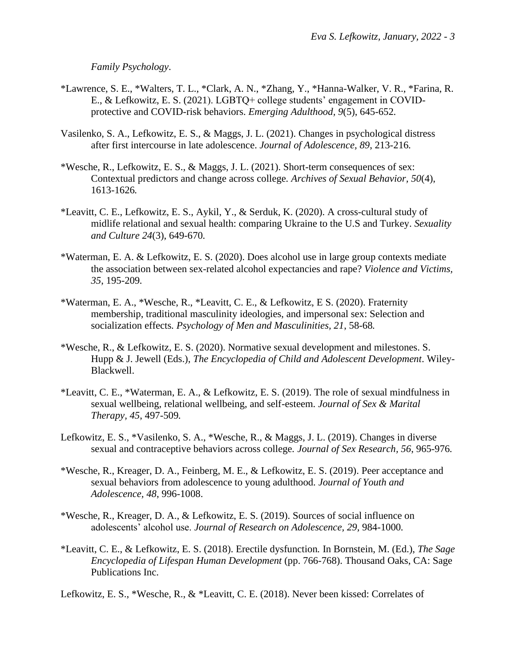*Family Psychology*.

- \*Lawrence, S. E., \*Walters, T. L., \*Clark, A. N., \*Zhang, Y., \*Hanna-Walker, V. R., \*Farina, R. E., & Lefkowitz, E. S. (2021). LGBTQ+ college students' engagement in COVIDprotective and COVID-risk behaviors. *Emerging Adulthood, 9*(5), 645-652*.*
- Vasilenko, S. A., Lefkowitz, E. S., & Maggs, J. L. (2021). Changes in psychological distress after first intercourse in late adolescence. *Journal of Adolescence, 89*, 213-216*.*
- \*Wesche, R., Lefkowitz, E. S., & Maggs, J. L. (2021). Short-term consequences of sex: Contextual predictors and change across college*. Archives of Sexual Behavior, 50*(4), 1613-1626*.*
- \*Leavitt, C. E., Lefkowitz, E. S., Aykil, Y., & Serduk, K. (2020). A cross-cultural study of midlife relational and sexual health: comparing Ukraine to the U.S and Turkey. *Sexuality and Culture 24*(3), 649-670*.*
- \*Waterman, E. A. & Lefkowitz, E. S. (2020). Does alcohol use in large group contexts mediate the association between sex-related alcohol expectancies and rape? *Violence and Victims, 35*, 195-209*.*
- \*Waterman, E. A., \*Wesche, R., \*Leavitt, C. E., & Lefkowitz, E S. (2020). Fraternity membership, traditional masculinity ideologies, and impersonal sex: Selection and socialization effects*. Psychology of Men and Masculinities, 21*, 58-68*.*
- \*Wesche, R., & Lefkowitz, E. S. (2020). Normative sexual development and milestones. S. Hupp & J. Jewell (Eds.), *The Encyclopedia of Child and Adolescent Development*. Wiley-Blackwell.
- \*Leavitt, C. E., \*Waterman, E. A., & Lefkowitz, E. S. (2019). The role of sexual mindfulness in sexual wellbeing, relational wellbeing, and self-esteem. *Journal of Sex & Marital Therapy, 45*, 497-509*.*
- Lefkowitz, E. S., \*Vasilenko, S. A., \*Wesche, R., & Maggs, J. L. (2019). Changes in diverse sexual and contraceptive behaviors across college*. Journal of Sex Research, 56*, 965-976*.*
- \*Wesche, R., Kreager, D. A., Feinberg, M. E., & Lefkowitz, E. S. (2019). Peer acceptance and sexual behaviors from adolescence to young adulthood. *Journal of Youth and Adolescence, 48*, 996-1008.
- \*Wesche, R., Kreager, D. A., & Lefkowitz, E. S. (2019). Sources of social influence on adolescents' alcohol use. *Journal of Research on Adolescence, 29,* 984-1000*.*
- \*Leavitt, C. E., & Lefkowitz, E. S. (2018). Erectile dysfunction*.* In Bornstein, M. (Ed.), *The Sage Encyclopedia of Lifespan Human Development* (pp. 766-768). Thousand Oaks, CA: Sage Publications Inc.

Lefkowitz, E. S., \*Wesche, R., & \*Leavitt, C. E. (2018). Never been kissed: Correlates of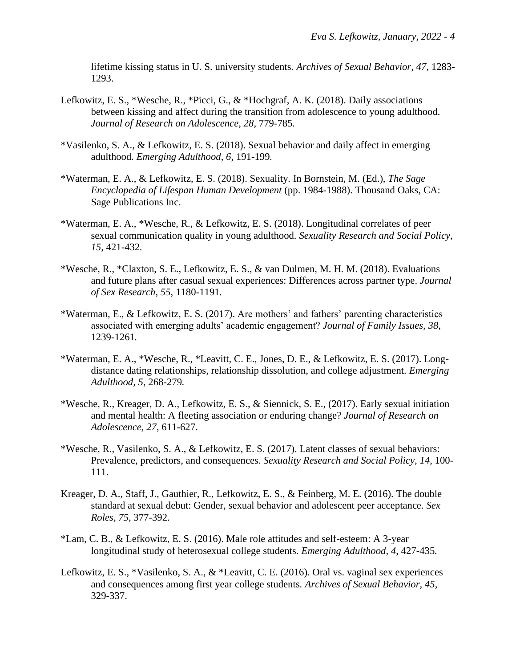lifetime kissing status in U. S. university students. *Archives of Sexual Behavior, 47*, 1283- 1293.

- Lefkowitz, E. S., \*Wesche, R., \*Picci, G., & \*Hochgraf, A. K. (2018). Daily associations between kissing and affect during the transition from adolescence to young adulthood. *Journal of Research on Adolescence, 28*, 779-785*.*
- \*Vasilenko, S. A., & Lefkowitz, E. S. (2018). Sexual behavior and daily affect in emerging adulthood*. Emerging Adulthood, 6*, 191-199*.*
- \*Waterman, E. A., & Lefkowitz, E. S. (2018). Sexuality*.* In Bornstein, M. (Ed.), *The Sage Encyclopedia of Lifespan Human Development* (pp. 1984-1988). Thousand Oaks, CA: Sage Publications Inc.
- \*Waterman, E. A., \*Wesche, R., & Lefkowitz, E. S. (2018). Longitudinal correlates of peer sexual communication quality in young adulthood*. Sexuality Research and Social Policy, 15*, 421-432*.*
- \*Wesche, R., \*Claxton, S. E., Lefkowitz, E. S., & van Dulmen, M. H. M. (2018). Evaluations and future plans after casual sexual experiences: Differences across partner type. *Journal of Sex Research, 55*, 1180-1191*.*
- \*Waterman, E., & Lefkowitz, E. S. (2017). Are mothers' and fathers' parenting characteristics associated with emerging adults' academic engagement? *Journal of Family Issues, 38*, 1239-1261*.*
- \*Waterman, E. A., \*Wesche, R., \*Leavitt, C. E., Jones, D. E., & Lefkowitz, E. S. (2017). Longdistance dating relationships, relationship dissolution, and college adjustment. *Emerging Adulthood, 5*, 268-279*.*
- \*Wesche, R., Kreager, D. A., Lefkowitz, E. S., & Siennick, S. E., (2017). Early sexual initiation and mental health: A fleeting association or enduring change? *Journal of Research on Adolescence, 27*, 611-627.
- \*Wesche, R., Vasilenko, S. A., & Lefkowitz, E. S. (2017). Latent classes of sexual behaviors: Prevalence, predictors, and consequences. *Sexuality Research and Social Policy, 14*, 100- 111.
- Kreager, D. A., Staff, J., Gauthier, R., Lefkowitz, E. S., & Feinberg, M. E. (2016). The double standard at sexual debut: Gender, sexual behavior and adolescent peer acceptance. *Sex Roles, 75*, 377-392.
- \*Lam, C. B., & Lefkowitz, E. S. (2016). Male role attitudes and self-esteem: A 3-year longitudinal study of heterosexual college students. *Emerging Adulthood, 4*, 427-435*.*
- Lefkowitz, E. S., \*Vasilenko, S. A., & \*Leavitt, C. E. (2016). Oral vs. vaginal sex experiences and consequences among first year college students*. Archives of Sexual Behavior, 45*, 329-337.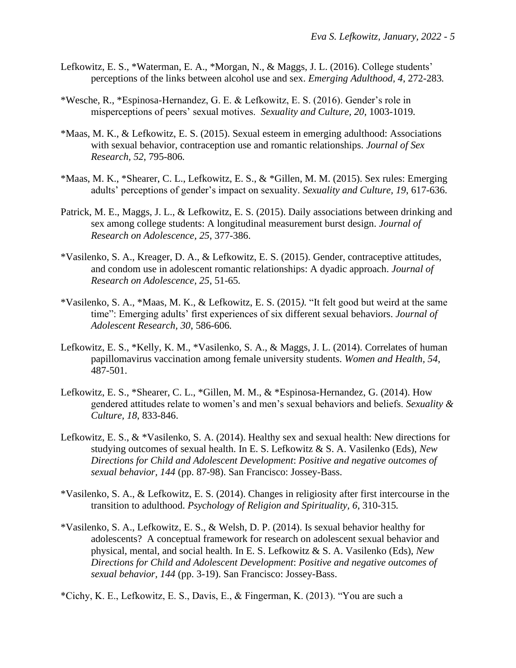- Lefkowitz, E. S., \*Waterman, E. A., \*Morgan, N., & Maggs, J. L. (2016). College students' perceptions of the links between alcohol use and sex. *Emerging Adulthood, 4*, 272-283*.*
- \*Wesche, R., \*Espinosa-Hernandez, G. E. & Lefkowitz, E. S. (2016). Gender's role in misperceptions of peers' sexual motives. *Sexuality and Culture, 20*, 1003-1019*.*
- \*Maas, M. K., & Lefkowitz, E. S. (2015). Sexual esteem in emerging adulthood: Associations with sexual behavior, contraception use and romantic relationships. *Journal of Sex Research, 52*, 795-806*.*
- \*Maas, M. K., \*Shearer, C. L., Lefkowitz, E. S., & \*Gillen, M. M. (2015). Sex rules: Emerging adults' perceptions of gender's impact on sexuality. *Sexuality and Culture, 19*, 617-636.
- Patrick, M. E., Maggs, J. L., & Lefkowitz, E. S. (2015). Daily associations between drinking and sex among college students: A longitudinal measurement burst design. *Journal of Research on Adolescence, 25*, 377-386.
- \*Vasilenko, S. A., Kreager, D. A., & Lefkowitz, E. S. (2015). Gender, contraceptive attitudes, and condom use in adolescent romantic relationships: A dyadic approach. *Journal of Research on Adolescence, 25*, 51-65*.*
- \*Vasilenko, S. A., \*Maas, M. K., & Lefkowitz, E. S. (2015*).* "It felt good but weird at the same time": Emerging adults' first experiences of six different sexual behaviors. *Journal of Adolescent Research, 30*, 586-606*.*
- Lefkowitz, E. S., \*Kelly, K. M., \*Vasilenko, S. A., & Maggs, J. L. (2014). Correlates of human papillomavirus vaccination among female university students. *Women and Health, 54*, 487-501.
- Lefkowitz, E. S., \*Shearer, C. L., \*Gillen, M. M., & \*Espinosa-Hernandez, G. (2014). How gendered attitudes relate to women's and men's sexual behaviors and beliefs. *Sexuality & Culture, 18*, 833-846.
- Lefkowitz, E. S., & \*Vasilenko, S. A. (2014). Healthy sex and sexual health: New directions for studying outcomes of sexual health. In E. S. Lefkowitz & S. A. Vasilenko (Eds), *New Directions for Child and Adolescent Development*: *Positive and negative outcomes of sexual behavior, 144* (pp. 87-98). San Francisco: Jossey-Bass.
- \*Vasilenko, S. A., & Lefkowitz, E. S. (2014). Changes in religiosity after first intercourse in the transition to adulthood. *Psychology of Religion and Spirituality, 6*, 310-315*.*
- \*Vasilenko, S. A., Lefkowitz, E. S., & Welsh, D. P. (2014). Is sexual behavior healthy for adolescents? A conceptual framework for research on adolescent sexual behavior and physical, mental, and social health. In E. S. Lefkowitz & S. A. Vasilenko (Eds), *New Directions for Child and Adolescent Development*: *Positive and negative outcomes of sexual behavior, 144* (pp. 3-19). San Francisco: Jossey-Bass.

\*Cichy, K. E., Lefkowitz, E. S., Davis, E., & Fingerman, K. (2013). "You are such a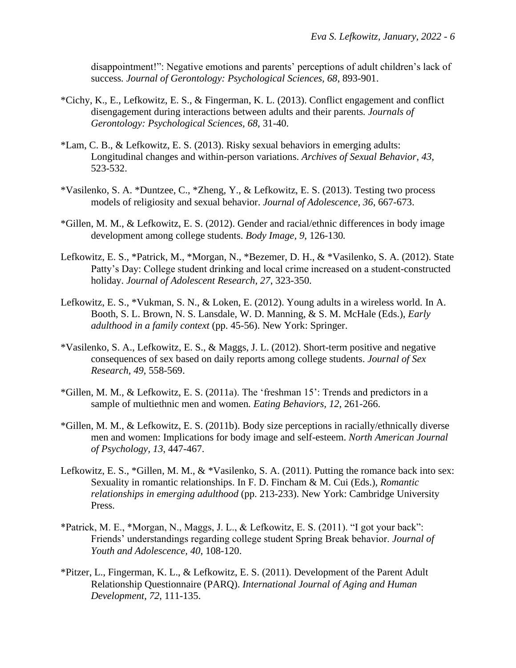disappointment!": Negative emotions and parents' perceptions of adult children's lack of success*. Journal of Gerontology: Psychological Sciences, 68*, 893-901.

- \*Cichy, K., E., Lefkowitz, E. S., & Fingerman, K. L. (2013). Conflict engagement and conflict disengagement during interactions between adults and their parents*. Journals of Gerontology: Psychological Sciences, 68,* 31-40.
- \*Lam, C. B., & Lefkowitz, E. S. (2013). Risky sexual behaviors in emerging adults: Longitudinal changes and within-person variations. *Archives of Sexual Behavior, 43*, 523-532.
- \*Vasilenko, S. A. \*Duntzee, C., \*Zheng, Y., & Lefkowitz, E. S. (2013). Testing two process models of religiosity and sexual behavior. *Journal of Adolescence, 36*, 667-673.
- \*Gillen, M. M., & Lefkowitz, E. S. (2012). Gender and racial/ethnic differences in body image development among college students. *Body Image, 9*, 126-130*.*
- Lefkowitz, E. S., \*Patrick, M., \*Morgan, N., \*Bezemer, D. H., & \*Vasilenko, S. A. (2012). State Patty's Day: College student drinking and local crime increased on a student-constructed holiday. *Journal of Adolescent Research, 27*, 323-350.
- Lefkowitz, E. S., \*Vukman, S. N., & Loken, E. (2012). Young adults in a wireless world. In A. Booth, S. L. Brown, N. S. Lansdale, W. D. Manning, & S. M. McHale (Eds.), *Early adulthood in a family context* (pp. 45-56). New York: Springer.
- \*Vasilenko, S. A., Lefkowitz, E. S., & Maggs, J. L. (2012). Short-term positive and negative consequences of sex based on daily reports among college students. *Journal of Sex Research, 49*, 558-569.
- \*Gillen, M. M., & Lefkowitz, E. S. (2011a). The 'freshman 15': Trends and predictors in a sample of multiethnic men and women*. Eating Behaviors, 12*, 261-266.
- \*Gillen, M. M., & Lefkowitz, E. S. (2011b). Body size perceptions in racially/ethnically diverse men and women: Implications for body image and self-esteem. *North American Journal of Psychology, 13*, 447-467.
- Lefkowitz, E. S., \*Gillen, M. M., & \*Vasilenko, S. A. (2011). Putting the romance back into sex: Sexuality in romantic relationships. In F. D. Fincham & M. Cui (Eds.), *Romantic relationships in emerging adulthood* (pp. 213-233). New York: Cambridge University Press.
- \*Patrick, M. E., \*Morgan, N., Maggs, J. L., & Lefkowitz, E. S. (2011). "I got your back": Friends' understandings regarding college student Spring Break behavior. *Journal of Youth and Adolescence, 40*, 108-120.
- \*Pitzer, L., Fingerman, K. L., & Lefkowitz, E. S. (2011). Development of the Parent Adult Relationship Questionnaire (PARQ). *International Journal of Aging and Human Development, 72*, 111-135.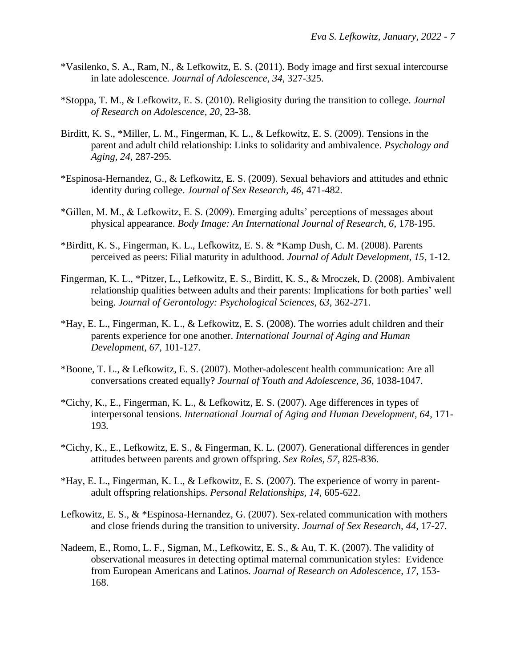- \*Vasilenko, S. A., Ram, N., & Lefkowitz, E. S. (2011). Body image and first sexual intercourse in late adolescence*. Journal of Adolescence, 34*, 327-325.
- \*Stoppa, T. M., & Lefkowitz, E. S. (2010). Religiosity during the transition to college. *Journal of Research on Adolescence, 20*, 23-38.
- Birditt, K. S., \*Miller, L. M., Fingerman, K. L., & Lefkowitz, E. S. (2009). Tensions in the parent and adult child relationship: Links to solidarity and ambivalence. *Psychology and Aging, 24*, 287-295*.*
- \*Espinosa-Hernandez, G., & Lefkowitz, E. S. (2009). Sexual behaviors and attitudes and ethnic identity during college. *Journal of Sex Research, 46*, 471-482.
- \*Gillen, M. M., & Lefkowitz, E. S. (2009). Emerging adults' perceptions of messages about physical appearance. *Body Image: An International Journal of Research, 6*, 178-195.
- \*Birditt, K. S., Fingerman, K. L., Lefkowitz, E. S. & \*Kamp Dush, C. M. (2008). Parents perceived as peers: Filial maturity in adulthood. *Journal of Adult Development, 15*, 1-12*.*
- Fingerman, K. L., \*Pitzer, L., Lefkowitz, E. S., Birditt, K. S., & Mroczek, D. (2008). Ambivalent relationship qualities between adults and their parents: Implications for both parties' well being. *Journal of Gerontology: Psychological Sciences, 63*, 362-271.
- \*Hay, E. L., Fingerman, K. L., & Lefkowitz, E. S. (2008). The worries adult children and their parents experience for one another. *International Journal of Aging and Human Development, 67*, 101-127*.*
- \*Boone, T. L., & Lefkowitz, E. S. (2007). Mother-adolescent health communication: Are all conversations created equally? *Journal of Youth and Adolescence, 36,* 1038-1047.
- \*Cichy, K., E., Fingerman, K. L., & Lefkowitz, E. S. (2007). Age differences in types of interpersonal tensions. *International Journal of Aging and Human Development, 64*, 171- 193*.*
- \*Cichy, K., E., Lefkowitz, E. S., & Fingerman, K. L. (2007). Generational differences in gender attitudes between parents and grown offspring. *Sex Roles, 57*, 825-836.
- \*Hay, E. L., Fingerman, K. L., & Lefkowitz, E. S. (2007). The experience of worry in parentadult offspring relationships. *Personal Relationships, 14*, 605-622.
- Lefkowitz, E. S., & \*Espinosa-Hernandez, G. (2007). Sex-related communication with mothers and close friends during the transition to university*. Journal of Sex Research, 44*, 17-27*.*
- Nadeem, E., Romo, L. F., Sigman, M., Lefkowitz, E. S., & Au, T. K. (2007). The validity of observational measures in detecting optimal maternal communication styles: Evidence from European Americans and Latinos. *Journal of Research on Adolescence, 17*, 153- 168.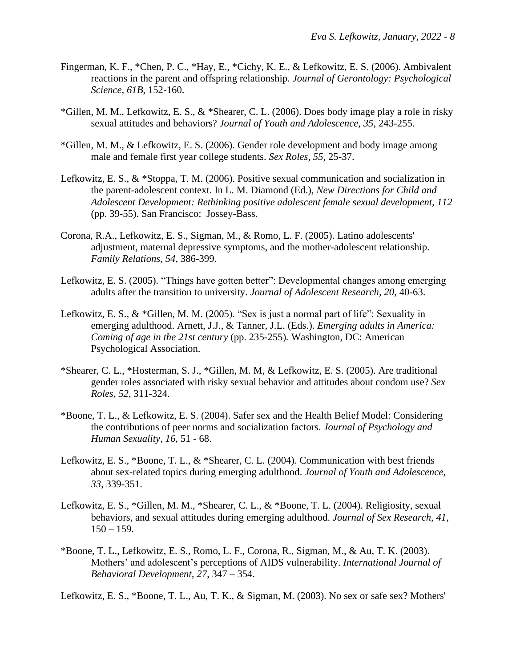- Fingerman, K. F., \*Chen, P. C., \*Hay, E., \*Cichy, K. E., & Lefkowitz, E. S. (2006). Ambivalent reactions in the parent and offspring relationship. *Journal of Gerontology: Psychological Science, 61B*, 152-160.
- \*Gillen, M. M., Lefkowitz, E. S., & \*Shearer, C. L. (2006). Does body image play a role in risky sexual attitudes and behaviors? *Journal of Youth and Adolescence, 35*, 243-255*.*
- \*Gillen, M. M., & Lefkowitz, E. S. (2006). Gender role development and body image among male and female first year college students. *Sex Roles, 55*, 25-37.
- Lefkowitz, E. S., & \*Stoppa, T. M. (2006). Positive sexual communication and socialization in the parent-adolescent context. In L. M. Diamond (Ed.), *New Directions for Child and Adolescent Development: Rethinking positive adolescent female sexual development, 112* (pp. 39-55). San Francisco: Jossey-Bass.
- Corona, R.A., Lefkowitz, E. S., Sigman, M., & Romo, L. F. (2005). Latino adolescents' adjustment, maternal depressive symptoms, and the mother-adolescent relationship. *Family Relations, 54*, 386-399.
- Lefkowitz, E. S. (2005). "Things have gotten better": Developmental changes among emerging adults after the transition to university. *Journal of Adolescent Research, 20*, 40-63.
- Lefkowitz, E. S., & \*Gillen, M. M. (2005). "Sex is just a normal part of life": Sexuality in emerging adulthood. Arnett, J.J., & Tanner, J.L. (Eds.). *Emerging adults in America: Coming of age in the 21st century* (pp. 235-255)*.* Washington, DC: American Psychological Association.
- \*Shearer, C. L., \*Hosterman, S. J., \*Gillen, M. M, & Lefkowitz, E. S. (2005). Are traditional gender roles associated with risky sexual behavior and attitudes about condom use? *Sex Roles, 52*, 311-324.
- \*Boone, T. L., & Lefkowitz, E. S. (2004). Safer sex and the Health Belief Model: Considering the contributions of peer norms and socialization factors. *Journal of Psychology and Human Sexuality, 16*, 51 - 68.
- Lefkowitz, E. S., \*Boone, T. L., & \*Shearer, C. L. (2004). Communication with best friends about sex-related topics during emerging adulthood. *Journal of Youth and Adolescence, 33*, 339-351.
- Lefkowitz, E. S., \*Gillen, M. M., \*Shearer, C. L., & \*Boone, T. L. (2004). Religiosity, sexual behaviors, and sexual attitudes during emerging adulthood. *Journal of Sex Research, 41,*  $150 - 159.$
- \*Boone, T. L., Lefkowitz, E. S., Romo, L. F., Corona, R., Sigman, M., & Au, T. K. (2003). Mothers' and adolescent's perceptions of AIDS vulnerability. *International Journal of Behavioral Development, 27*, 347 – 354.

Lefkowitz, E. S., \*Boone, T. L., Au, T. K., & Sigman, M. (2003). No sex or safe sex? Mothers'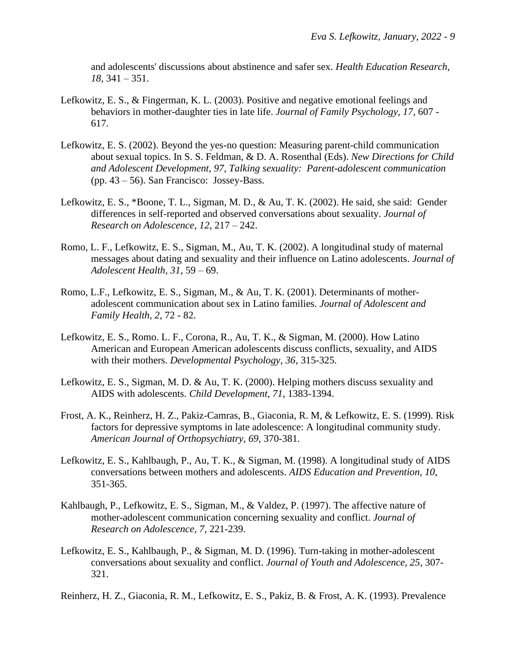and adolescents' discussions about abstinence and safer sex. *Health Education Research, 18*, 341 – 351.

- Lefkowitz, E. S., & Fingerman, K. L. (2003). Positive and negative emotional feelings and behaviors in mother-daughter ties in late life. *Journal of Family Psychology, 17*, 607 - 617.
- Lefkowitz, E. S. (2002). Beyond the yes-no question: Measuring parent-child communication about sexual topics. In S. S. Feldman, & D. A. Rosenthal (Eds). *New Directions for Child and Adolescent Development, 97, Talking sexuality: Parent-adolescent communication* (pp. 43 – 56). San Francisco: Jossey-Bass.
- Lefkowitz, E. S., \*Boone, T. L., Sigman, M. D., & Au, T. K. (2002). He said, she said: Gender differences in self-reported and observed conversations about sexuality. *Journal of Research on Adolescence, 12*, 217 – 242.
- Romo, L. F., Lefkowitz, E. S., Sigman, M., Au, T. K. (2002). A longitudinal study of maternal messages about dating and sexuality and their influence on Latino adolescents. *Journal of Adolescent Health, 31*, 59 – 69.
- Romo, L.F., Lefkowitz, E. S., Sigman, M., & Au, T. K. (2001). Determinants of motheradolescent communication about sex in Latino families. *Journal of Adolescent and Family Health, 2*, 72 - 82.
- Lefkowitz, E. S., Romo. L. F., Corona, R., Au, T. K., & Sigman, M. (2000). How Latino American and European American adolescents discuss conflicts, sexuality, and AIDS with their mothers. *Developmental Psychology, 36*, 315-325.
- Lefkowitz, E. S., Sigman, M. D. & Au, T. K. (2000). Helping mothers discuss sexuality and AIDS with adolescents. *Child Development, 71*, 1383-1394.
- Frost, A. K., Reinherz, H. Z., Pakiz-Camras, B., Giaconia, R. M, & Lefkowitz, E. S. (1999). Risk factors for depressive symptoms in late adolescence: A longitudinal community study. *American Journal of Orthopsychiatry, 69*, 370-381.
- Lefkowitz, E. S., Kahlbaugh, P., Au, T. K., & Sigman, M. (1998). A longitudinal study of AIDS conversations between mothers and adolescents. *AIDS Education and Prevention, 10*, 351-365.
- Kahlbaugh, P., Lefkowitz, E. S., Sigman, M., & Valdez, P. (1997). The affective nature of mother-adolescent communication concerning sexuality and conflict. *Journal of Research on Adolescence, 7*, 221-239.
- Lefkowitz, E. S., Kahlbaugh, P., & Sigman, M. D. (1996). Turn-taking in mother-adolescent conversations about sexuality and conflict. *Journal of Youth and Adolescence, 25*, 307- 321.

Reinherz, H. Z., Giaconia, R. M., Lefkowitz, E. S., Pakiz, B. & Frost, A. K. (1993). Prevalence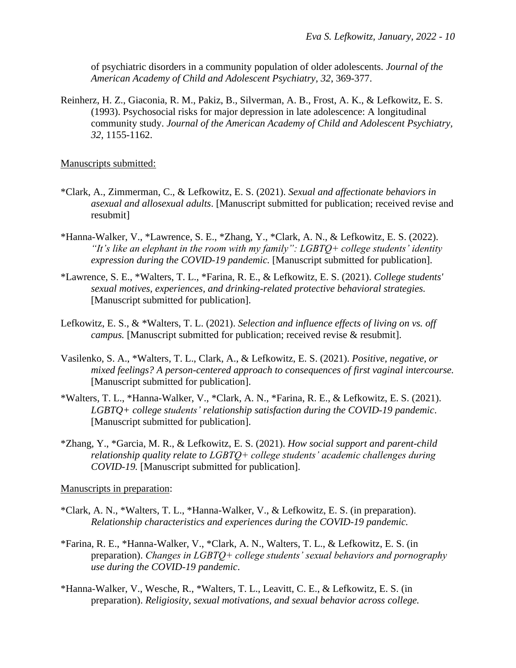of psychiatric disorders in a community population of older adolescents. *Journal of the American Academy of Child and Adolescent Psychiatry, 32*, 369-377.

Reinherz, H. Z., Giaconia, R. M., Pakiz, B., Silverman, A. B., Frost, A. K., & Lefkowitz, E. S. (1993). Psychosocial risks for major depression in late adolescence: A longitudinal community study. *Journal of the American Academy of Child and Adolescent Psychiatry, 32*, 1155-1162.

Manuscripts submitted:

- \*Clark, A., Zimmerman, C., & Lefkowitz, E. S. (2021). *Sexual and affectionate behaviors in asexual and allosexual adults*. [Manuscript submitted for publication; received revise and resubmit]
- \*Hanna-Walker, V., \*Lawrence, S. E., \*Zhang, Y., \*Clark, A. N., & Lefkowitz, E. S. (2022). *"It's like an elephant in the room with my family": LGBTQ+ college students' identity expression during the COVID-19 pandemic.* [Manuscript submitted for publication].
- \*Lawrence, S. E., \*Walters, T. L., \*Farina, R. E., & Lefkowitz, E. S. (2021). *College students' sexual motives, experiences, and drinking-related protective behavioral strategies.*  [Manuscript submitted for publication].
- Lefkowitz, E. S., & \*Walters, T. L. (2021). *Selection and influence effects of living on vs. off campus.* [Manuscript submitted for publication; received revise & resubmit].
- Vasilenko, S. A., \*Walters, T. L., Clark, A., & Lefkowitz, E. S. (2021). *Positive, negative, or mixed feelings? A person-centered approach to consequences of first vaginal intercourse.* [Manuscript submitted for publication].
- \*Walters, T. L., \*Hanna-Walker, V., \*Clark, A. N., \*Farina, R. E., & Lefkowitz, E. S. (2021). *LGBTQ+ college students' relationship satisfaction during the COVID-19 pandemic*. [Manuscript submitted for publication].
- \*Zhang, Y., \*Garcia, M. R., & Lefkowitz, E. S. (2021). *How social support and parent-child relationship quality relate to LGBTQ+ college students' academic challenges during COVID-19.* [Manuscript submitted for publication].

Manuscripts in preparation:

- \*Clark, A. N., \*Walters, T. L., \*Hanna-Walker, V., & Lefkowitz, E. S. (in preparation). *Relationship characteristics and experiences during the COVID-19 pandemic.*
- \*Farina, R. E., \*Hanna-Walker, V., \*Clark, A. N., Walters, T. L., & Lefkowitz, E. S. (in preparation). *Changes in LGBTQ+ college students' sexual behaviors and pornography use during the COVID-19 pandemic*.
- \*Hanna-Walker, V., Wesche, R., \*Walters, T. L., Leavitt, C. E., & Lefkowitz, E. S. (in preparation). *Religiosity, sexual motivations, and sexual behavior across college.*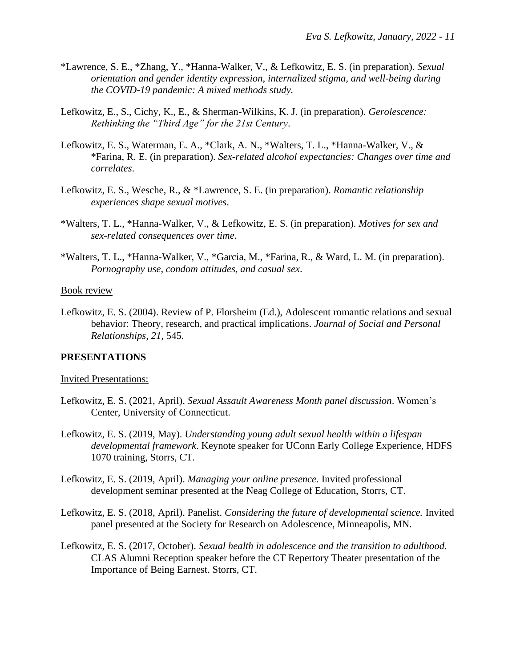- \*Lawrence, S. E., \*Zhang, Y., \*Hanna-Walker, V., & Lefkowitz, E. S. (in preparation). *Sexual orientation and gender identity expression, internalized stigma, and well-being during the COVID-19 pandemic: A mixed methods study.*
- Lefkowitz, E., S., Cichy, K., E., & Sherman-Wilkins, K. J. (in preparation). *Gerolescence: Rethinking the "Third Age" for the 21st Century*.
- Lefkowitz, E. S., Waterman, E. A., \*Clark, A. N., \*Walters, T. L., \*Hanna-Walker, V., & \*Farina, R. E. (in preparation). *Sex-related alcohol expectancies: Changes over time and correlates*.
- Lefkowitz, E. S., Wesche, R., & \*Lawrence, S. E. (in preparation). *Romantic relationship experiences shape sexual motives*.
- \*Walters, T. L., \*Hanna-Walker, V., & Lefkowitz, E. S. (in preparation). *Motives for sex and sex-related consequences over time*.
- \*Walters, T. L., \*Hanna-Walker, V., \*Garcia, M., \*Farina, R., & Ward, L. M. (in preparation). *Pornography use, condom attitudes, and casual sex*.

#### Book review

Lefkowitz, E. S. (2004). Review of P. Florsheim (Ed.), Adolescent romantic relations and sexual behavior: Theory, research, and practical implications. *Journal of Social and Personal Relationships, 21*, 545.

# **PRESENTATIONS**

#### Invited Presentations:

- Lefkowitz, E. S. (2021, April). *Sexual Assault Awareness Month panel discussion*. Women's Center, University of Connecticut.
- Lefkowitz, E. S. (2019, May). *Understanding young adult sexual health within a lifespan developmental framework*. Keynote speaker for UConn Early College Experience, HDFS 1070 training, Storrs, CT.
- Lefkowitz, E. S. (2019, April). *Managing your online presence.* Invited professional development seminar presented at the Neag College of Education, Storrs, CT.
- Lefkowitz, E. S. (2018, April). Panelist. *Considering the future of developmental science.* Invited panel presented at the Society for Research on Adolescence, Minneapolis, MN.
- Lefkowitz, E. S. (2017, October). *Sexual health in adolescence and the transition to adulthood.*  CLAS Alumni Reception speaker before the CT Repertory Theater presentation of the Importance of Being Earnest. Storrs, CT.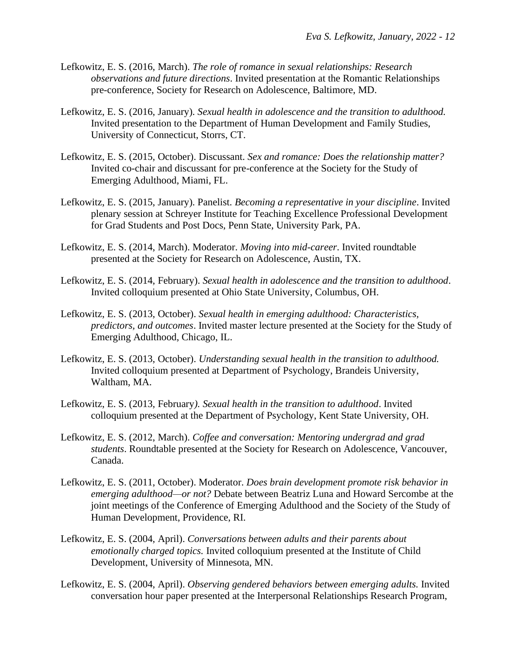- Lefkowitz, E. S. (2016, March). *The role of romance in sexual relationships: Research observations and future directions*. Invited presentation at the Romantic Relationships pre-conference, Society for Research on Adolescence, Baltimore, MD.
- Lefkowitz, E. S. (2016, January). *Sexual health in adolescence and the transition to adulthood.* Invited presentation to the Department of Human Development and Family Studies, University of Connecticut, Storrs, CT.
- Lefkowitz, E. S. (2015, October). Discussant. *Sex and romance: Does the relationship matter?*  Invited co-chair and discussant for pre-conference at the Society for the Study of Emerging Adulthood, Miami, FL.
- Lefkowitz, E. S. (2015, January). Panelist. *Becoming a representative in your discipline*. Invited plenary session at Schreyer Institute for Teaching Excellence Professional Development for Grad Students and Post Docs, Penn State, University Park, PA.
- Lefkowitz, E. S. (2014, March). Moderator. *Moving into mid-career*. Invited roundtable presented at the Society for Research on Adolescence, Austin, TX.
- Lefkowitz, E. S. (2014, February). *Sexual health in adolescence and the transition to adulthood*. Invited colloquium presented at Ohio State University, Columbus, OH.
- Lefkowitz, E. S. (2013, October). *Sexual health in emerging adulthood: Characteristics, predictors, and outcomes*. Invited master lecture presented at the Society for the Study of Emerging Adulthood, Chicago, IL.
- Lefkowitz, E. S. (2013, October). *Understanding sexual health in the transition to adulthood.* Invited colloquium presented at Department of Psychology, Brandeis University, Waltham, MA.
- Lefkowitz, E. S. (2013, February*). Sexual health in the transition to adulthood*. Invited colloquium presented at the Department of Psychology, Kent State University, OH.
- Lefkowitz, E. S. (2012, March). *Coffee and conversation: Mentoring undergrad and grad students*. Roundtable presented at the Society for Research on Adolescence, Vancouver, Canada.
- Lefkowitz, E. S. (2011, October). Moderator. *Does brain development promote risk behavior in emerging adulthood—or not?* Debate between Beatriz Luna and Howard Sercombe at the joint meetings of the Conference of Emerging Adulthood and the Society of the Study of Human Development, Providence, RI.
- Lefkowitz, E. S. (2004, April). *Conversations between adults and their parents about emotionally charged topics.* Invited colloquium presented at the Institute of Child Development, University of Minnesota, MN.
- Lefkowitz, E. S. (2004, April). *Observing gendered behaviors between emerging adults.* Invited conversation hour paper presented at the Interpersonal Relationships Research Program,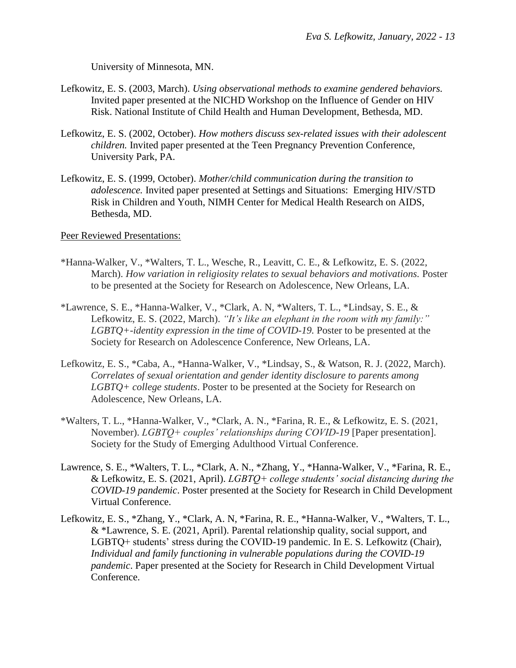University of Minnesota, MN.

- Lefkowitz, E. S. (2003, March). *Using observational methods to examine gendered behaviors.*  Invited paper presented at the NICHD Workshop on the Influence of Gender on HIV Risk. National Institute of Child Health and Human Development, Bethesda, MD.
- Lefkowitz, E. S. (2002, October). *How mothers discuss sex-related issues with their adolescent children.* Invited paper presented at the Teen Pregnancy Prevention Conference, University Park, PA.
- Lefkowitz, E. S. (1999, October). *Mother/child communication during the transition to adolescence.* Invited paper presented at Settings and Situations: Emerging HIV/STD Risk in Children and Youth, NIMH Center for Medical Health Research on AIDS, Bethesda, MD.

Peer Reviewed Presentations:

- \*Hanna-Walker, V., \*Walters, T. L., Wesche, R., Leavitt, C. E., & Lefkowitz, E. S. (2022, March). *How variation in religiosity relates to sexual behaviors and motivations.* Poster to be presented at the Society for Research on Adolescence, New Orleans, LA.
- \*Lawrence, S. E., \*Hanna-Walker, V., \*Clark, A. N, \*Walters, T. L., \*Lindsay, S. E., & Lefkowitz, E. S. (2022, March). *"It's like an elephant in the room with my family:" LGBTQ+-identity expression in the time of COVID-19.* Poster to be presented at the Society for Research on Adolescence Conference, New Orleans, LA.
- Lefkowitz, E. S., \*Caba, A., \*Hanna-Walker, V., \*Lindsay, S., & Watson, R. J. (2022, March). *Correlates of sexual orientation and gender identity disclosure to parents among LGBTQ+ college students*. Poster to be presented at the Society for Research on Adolescence, New Orleans, LA.
- \*Walters, T. L., \*Hanna-Walker, V., \*Clark, A. N., \*Farina, R. E., & Lefkowitz, E. S. (2021, November). *LGBTQ+ couples' relationships during COVID-19* [Paper presentation]. Society for the Study of Emerging Adulthood Virtual Conference.
- Lawrence, S. E., \*Walters, T. L., \*Clark, A. N., \*Zhang, Y., \*Hanna-Walker, V., \*Farina, R. E., & Lefkowitz, E. S. (2021, April). *LGBTQ+ college students' social distancing during the COVID-19 pandemic*. Poster presented at the Society for Research in Child Development Virtual Conference.
- Lefkowitz, E. S., \*Zhang, Y., \*Clark, A. N, \*Farina, R. E., \*Hanna-Walker, V., \*Walters, T. L., & \*Lawrence, S. E. (2021, April). Parental relationship quality, social support, and LGBTQ+ students' stress during the COVID-19 pandemic. In E. S. Lefkowitz (Chair), *Individual and family functioning in vulnerable populations during the COVID-19 pandemic*. Paper presented at the Society for Research in Child Development Virtual Conference.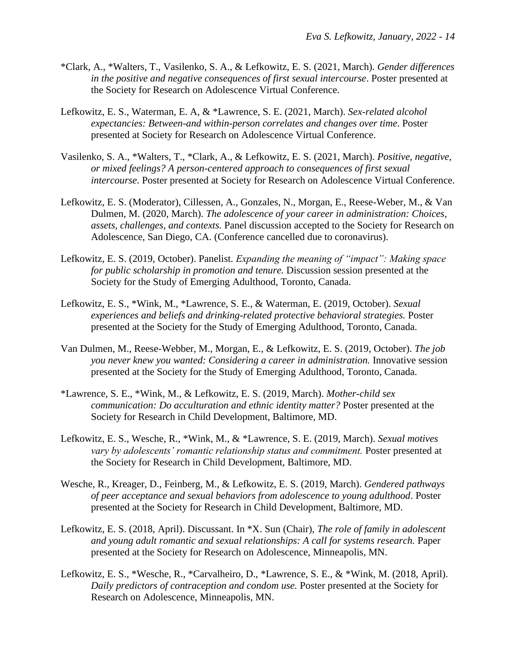- \*Clark, A., \*Walters, T., Vasilenko, S. A., & Lefkowitz, E. S. (2021, March). *Gender differences in the positive and negative consequences of first sexual intercourse*. Poster presented at the Society for Research on Adolescence Virtual Conference.
- Lefkowitz, E. S., Waterman, E. A, & \*Lawrence, S. E. (2021, March). *Sex-related alcohol expectancies: Between-and within-person correlates and changes over time*. Poster presented at Society for Research on Adolescence Virtual Conference.
- Vasilenko, S. A., \*Walters, T., \*Clark, A., & Lefkowitz, E. S. (2021, March). *Positive, negative, or mixed feelings? A person-centered approach to consequences of first sexual intercourse.* Poster presented at Society for Research on Adolescence Virtual Conference.
- Lefkowitz, E. S. (Moderator), Cillessen, A., Gonzales, N., Morgan, E., Reese-Weber, M., & Van Dulmen, M. (2020, March). *The adolescence of your career in administration: Choices, assets, challenges, and contexts.* Panel discussion accepted to the Society for Research on Adolescence, San Diego, CA. (Conference cancelled due to coronavirus).
- Lefkowitz, E. S. (2019, October). Panelist. *Expanding the meaning of "impact": Making space for public scholarship in promotion and tenure.* Discussion session presented at the Society for the Study of Emerging Adulthood, Toronto, Canada.
- Lefkowitz, E. S., \*Wink, M., \*Lawrence, S. E., & Waterman, E. (2019, October). *Sexual experiences and beliefs and drinking-related protective behavioral strategies.* Poster presented at the Society for the Study of Emerging Adulthood, Toronto, Canada.
- Van Dulmen, M., Reese-Webber, M., Morgan, E., & Lefkowitz, E. S. (2019, October). *The job you never knew you wanted: Considering a career in administration.* Innovative session presented at the Society for the Study of Emerging Adulthood, Toronto, Canada.
- \*Lawrence, S. E., \*Wink, M., & Lefkowitz, E. S. (2019, March). *Mother-child sex communication: Do acculturation and ethnic identity matter?* Poster presented at the Society for Research in Child Development, Baltimore, MD.
- Lefkowitz, E. S., Wesche, R., \*Wink, M., & \*Lawrence, S. E. (2019, March). *Sexual motives vary by adolescents' romantic relationship status and commitment.* Poster presented at the Society for Research in Child Development, Baltimore, MD.
- Wesche, R., Kreager, D., Feinberg, M., & Lefkowitz, E. S. (2019, March). *Gendered pathways of peer acceptance and sexual behaviors from adolescence to young adulthood*. Poster presented at the Society for Research in Child Development, Baltimore, MD.
- Lefkowitz, E. S. (2018, April). Discussant. In \*X. Sun (Chair), *The role of family in adolescent*  and young adult romantic and sexual relationships: A call for systems research. Paper presented at the Society for Research on Adolescence, Minneapolis, MN.
- Lefkowitz, E. S., \*Wesche, R., \*Carvalheiro, D., \*Lawrence, S. E., & \*Wink, M. (2018, April). *Daily predictors of contraception and condom use.* Poster presented at the Society for Research on Adolescence, Minneapolis, MN.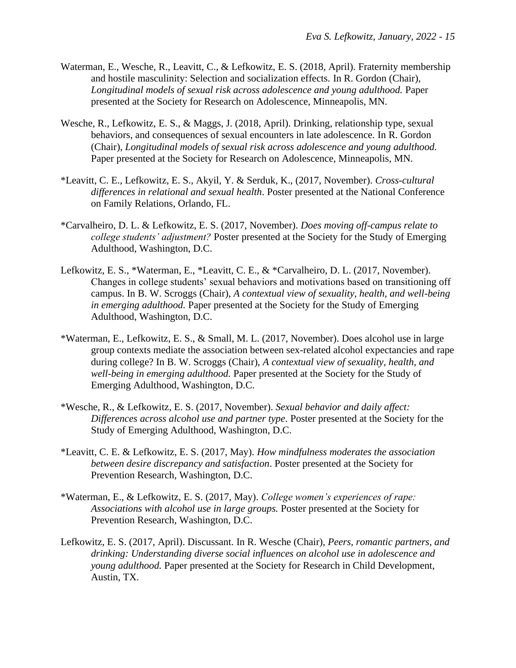- Waterman, E., Wesche, R., Leavitt, C., & Lefkowitz, E. S. (2018, April). Fraternity membership and hostile masculinity: Selection and socialization effects*.* In R. Gordon (Chair), *Longitudinal models of sexual risk across adolescence and young adulthood.* Paper presented at the Society for Research on Adolescence, Minneapolis, MN.
- Wesche, R., Lefkowitz, E. S., & Maggs, J. (2018, April). Drinking, relationship type, sexual behaviors, and consequences of sexual encounters in late adolescence*.* In R. Gordon (Chair), *Longitudinal models of sexual risk across adolescence and young adulthood.*  Paper presented at the Society for Research on Adolescence, Minneapolis, MN.
- \*Leavitt, C. E., Lefkowitz, E. S., Akyil, Y. & Serduk, K., (2017, November). *Cross-cultural differences in relational and sexual health*. Poster presented at the National Conference on Family Relations, Orlando, FL.
- \*Carvalheiro, D. L. & Lefkowitz, E. S. (2017, November). *Does moving off-campus relate to college students' adjustment?* Poster presented at the Society for the Study of Emerging Adulthood, Washington, D.C.
- Lefkowitz, E. S., \*Waterman, E., \*Leavitt, C. E., & \*Carvalheiro, D. L. (2017, November). Changes in college students' sexual behaviors and motivations based on transitioning off campus. In B. W. Scroggs (Chair), *A contextual view of sexuality, health, and well-being in emerging adulthood.* Paper presented at the Society for the Study of Emerging Adulthood, Washington, D.C.
- \*Waterman, E., Lefkowitz, E. S., & Small, M. L. (2017, November). Does alcohol use in large group contexts mediate the association between sex-related alcohol expectancies and rape during college? In B. W. Scroggs (Chair), *A contextual view of sexuality, health, and well-being in emerging adulthood.* Paper presented at the Society for the Study of Emerging Adulthood, Washington, D.C.
- \*Wesche, R., & Lefkowitz, E. S. (2017, November). *Sexual behavior and daily affect: Differences across alcohol use and partner type*. Poster presented at the Society for the Study of Emerging Adulthood, Washington, D.C.
- \*Leavitt, C. E. & Lefkowitz, E. S. (2017, May). *How mindfulness moderates the association between desire discrepancy and satisfaction*. Poster presented at the Society for Prevention Research, Washington, D.C.
- \*Waterman, E., & Lefkowitz, E. S. (2017, May). *College women's experiences of rape: Associations with alcohol use in large groups.* Poster presented at the Society for Prevention Research, Washington, D.C.
- Lefkowitz, E. S. (2017, April). Discussant. In R. Wesche (Chair), *Peers, romantic partners, and drinking: Understanding diverse social influences on alcohol use in adolescence and young adulthood.* Paper presented at the Society for Research in Child Development, Austin, TX.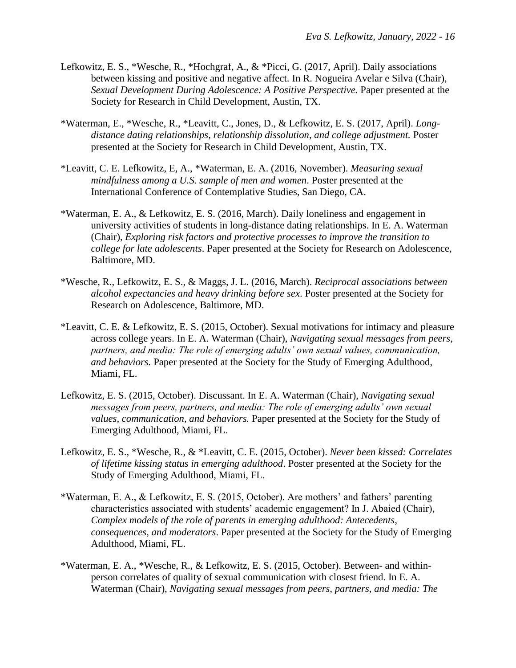- Lefkowitz, E. S., \*Wesche, R., \*Hochgraf, A., & \*Picci, G. (2017, April). Daily associations between kissing and positive and negative affect. In R. Nogueira Avelar e Silva (Chair), *Sexual Development During Adolescence: A Positive Perspective.* Paper presented at the Society for Research in Child Development, Austin, TX.
- \*Waterman, E., \*Wesche, R., \*Leavitt, C., Jones, D., & Lefkowitz, E. S. (2017, April). *Longdistance dating relationships, relationship dissolution, and college adjustment.* Poster presented at the Society for Research in Child Development, Austin, TX.
- \*Leavitt, C. E. Lefkowitz, E, A., \*Waterman, E. A. (2016, November). *Measuring sexual mindfulness among a U.S. sample of men and women*. Poster presented at the International Conference of Contemplative Studies, San Diego, CA.
- \*Waterman, E. A., & Lefkowitz, E. S. (2016, March). Daily loneliness and engagement in university activities of students in long-distance dating relationships. In E. A. Waterman (Chair), *Exploring risk factors and protective processes to improve the transition to college for late adolescents*. Paper presented at the Society for Research on Adolescence, Baltimore, MD.
- \*Wesche, R., Lefkowitz, E. S., & Maggs, J. L. (2016, March). *Reciprocal associations between alcohol expectancies and heavy drinking before sex*. Poster presented at the Society for Research on Adolescence, Baltimore, MD.
- \*Leavitt, C. E. & Lefkowitz, E. S. (2015, October). Sexual motivations for intimacy and pleasure across college years. In E. A. Waterman (Chair), *Navigating sexual messages from peers, partners, and media: The role of emerging adults' own sexual values, communication, and behaviors.* Paper presented at the Society for the Study of Emerging Adulthood, Miami, FL.
- Lefkowitz, E. S. (2015, October). Discussant. In E. A. Waterman (Chair), *Navigating sexual messages from peers, partners, and media: The role of emerging adults' own sexual values, communication, and behaviors.* Paper presented at the Society for the Study of Emerging Adulthood, Miami, FL.
- Lefkowitz, E. S., \*Wesche, R., & \*Leavitt, C. E. (2015, October). *Never been kissed: Correlates of lifetime kissing status in emerging adulthood*. Poster presented at the Society for the Study of Emerging Adulthood, Miami, FL.
- \*Waterman, E. A., & Lefkowitz, E. S. (2015, October). Are mothers' and fathers' parenting characteristics associated with students' academic engagement? In J. Abaied (Chair), *Complex models of the role of parents in emerging adulthood: Antecedents, consequences, and moderators*. Paper presented at the Society for the Study of Emerging Adulthood, Miami, FL.
- \*Waterman, E. A., \*Wesche, R., & Lefkowitz, E. S. (2015, October). Between- and withinperson correlates of quality of sexual communication with closest friend. In E. A. Waterman (Chair), *Navigating sexual messages from peers, partners, and media: The*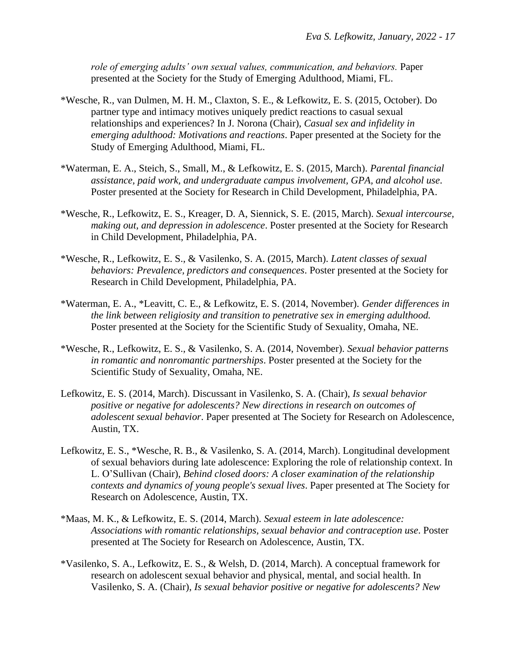role of emerging adults' own sexual values, communication, and behaviors. Paper presented at the Society for the Study of Emerging Adulthood, Miami, FL.

- \*Wesche, R., van Dulmen, M. H. M., Claxton, S. E., & Lefkowitz, E. S. (2015, October). Do partner type and intimacy motives uniquely predict reactions to casual sexual relationships and experiences? In J. Norona (Chair), *Casual sex and infidelity in emerging adulthood: Motivations and reactions*. Paper presented at the Society for the Study of Emerging Adulthood, Miami, FL.
- \*Waterman, E. A., Steich, S., Small, M., & Lefkowitz, E. S. (2015, March). *Parental financial assistance, paid work, and undergraduate campus involvement, GPA, and alcohol use*. Poster presented at the Society for Research in Child Development, Philadelphia, PA.
- \*Wesche, R., Lefkowitz, E. S., Kreager, D. A, Siennick, S. E. (2015, March). *Sexual intercourse, making out, and depression in adolescence*. Poster presented at the Society for Research in Child Development, Philadelphia, PA.
- \*Wesche, R., Lefkowitz, E. S., & Vasilenko, S. A. (2015, March). *Latent classes of sexual behaviors: Prevalence, predictors and consequences*. Poster presented at the Society for Research in Child Development, Philadelphia, PA.
- \*Waterman, E. A., \*Leavitt, C. E., & Lefkowitz, E. S. (2014, November). *Gender differences in the link between religiosity and transition to penetrative sex in emerging adulthood.*  Poster presented at the Society for the Scientific Study of Sexuality, Omaha, NE.
- \*Wesche, R., Lefkowitz, E. S., & Vasilenko, S. A. (2014, November). *Sexual behavior patterns in romantic and nonromantic partnerships*. Poster presented at the Society for the Scientific Study of Sexuality, Omaha, NE.
- Lefkowitz, E. S. (2014, March). Discussant in Vasilenko, S. A. (Chair), *Is sexual behavior positive or negative for adolescents? New directions in research on outcomes of adolescent sexual behavior*. Paper presented at The Society for Research on Adolescence, Austin, TX.
- Lefkowitz, E. S., \*Wesche, R. B., & Vasilenko, S. A. (2014, March). Longitudinal development of sexual behaviors during late adolescence: Exploring the role of relationship context. In L. O'Sullivan (Chair), *Behind closed doors: A closer examination of the relationship contexts and dynamics of young people's sexual lives*. Paper presented at The Society for Research on Adolescence, Austin, TX.
- \*Maas, M. K., & Lefkowitz, E. S. (2014, March). *Sexual esteem in late adolescence: Associations with romantic relationships, sexual behavior and contraception use*. Poster presented at The Society for Research on Adolescence, Austin, TX.
- \*Vasilenko, S. A., Lefkowitz, E. S., & Welsh, D. (2014, March). A conceptual framework for research on adolescent sexual behavior and physical, mental, and social health. In Vasilenko, S. A. (Chair), *Is sexual behavior positive or negative for adolescents? New*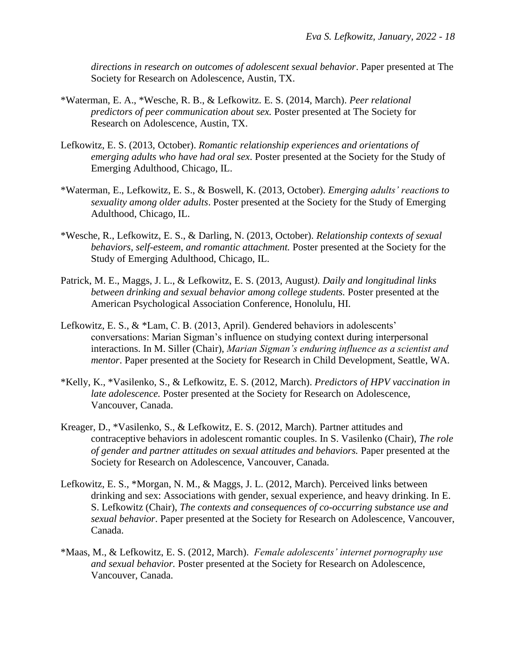*directions in research on outcomes of adolescent sexual behavior*. Paper presented at The Society for Research on Adolescence, Austin, TX.

- \*Waterman, E. A., \*Wesche, R. B., & Lefkowitz. E. S. (2014, March). *Peer relational predictors of peer communication about sex.* Poster presented at The Society for Research on Adolescence, Austin, TX.
- Lefkowitz, E. S. (2013, October). *Romantic relationship experiences and orientations of emerging adults who have had oral sex*. Poster presented at the Society for the Study of Emerging Adulthood, Chicago, IL.
- \*Waterman, E., Lefkowitz, E. S., & Boswell, K. (2013, October). *Emerging adults' reactions to sexuality among older adults*. Poster presented at the Society for the Study of Emerging Adulthood, Chicago, IL.
- \*Wesche, R., Lefkowitz, E. S., & Darling, N. (2013, October). *Relationship contexts of sexual behaviors, self-esteem, and romantic attachment.* Poster presented at the Society for the Study of Emerging Adulthood, Chicago, IL.
- Patrick, M. E., Maggs, J. L., & Lefkowitz, E. S. (2013, August*). Daily and longitudinal links between drinking and sexual behavior among college students.* Poster presented at the American Psychological Association Conference, Honolulu, HI.
- Lefkowitz, E. S., & \*Lam, C. B. (2013, April). Gendered behaviors in adolescents' conversations: Marian Sigman's influence on studying context during interpersonal interactions. In M. Siller (Chair), *Marian Sigman's enduring influence as a scientist and mentor*. Paper presented at the Society for Research in Child Development, Seattle, WA.
- \*Kelly, K., \*Vasilenko, S., & Lefkowitz, E. S. (2012, March). *Predictors of HPV vaccination in late adolescence.* Poster presented at the Society for Research on Adolescence, Vancouver, Canada.
- Kreager, D., \*Vasilenko, S., & Lefkowitz, E. S. (2012, March). Partner attitudes and contraceptive behaviors in adolescent romantic couples. In S. Vasilenko (Chair), *The role of gender and partner attitudes on sexual attitudes and behaviors.* Paper presented at the Society for Research on Adolescence, Vancouver, Canada.
- Lefkowitz, E. S., \*Morgan, N. M., & Maggs, J. L. (2012, March). Perceived links between drinking and sex: Associations with gender, sexual experience, and heavy drinking. In E. S. Lefkowitz (Chair), *The contexts and consequences of co-occurring substance use and sexual behavior*. Paper presented at the Society for Research on Adolescence, Vancouver, Canada.
- \*Maas, M., & Lefkowitz, E. S. (2012, March). *Female adolescents' internet pornography use and sexual behavior.* Poster presented at the Society for Research on Adolescence, Vancouver, Canada.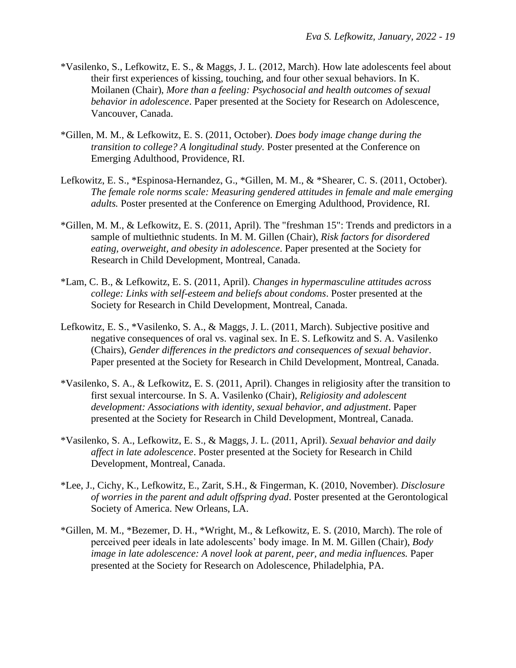- \*Vasilenko, S., Lefkowitz, E. S., & Maggs, J. L. (2012, March). How late adolescents feel about their first experiences of kissing, touching, and four other sexual behaviors. In K. Moilanen (Chair), *More than a feeling: Psychosocial and health outcomes of sexual behavior in adolescence*. Paper presented at the Society for Research on Adolescence, Vancouver, Canada.
- \*Gillen, M. M., & Lefkowitz, E. S. (2011, October). *Does body image change during the transition to college? A longitudinal study.* Poster presented at the Conference on Emerging Adulthood, Providence, RI.
- Lefkowitz, E. S., \*Espinosa-Hernandez, G., \*Gillen, M. M., & \*Shearer, C. S. (2011, October). *The female role norms scale: Measuring gendered attitudes in female and male emerging adults.* Poster presented at the Conference on Emerging Adulthood, Providence, RI.
- \*Gillen, M. M., & Lefkowitz, E. S. (2011, April). The "freshman 15": Trends and predictors in a sample of multiethnic students. In M. M. Gillen (Chair), *Risk factors for disordered eating, overweight, and obesity in adolescence*. Paper presented at the Society for Research in Child Development, Montreal, Canada.
- \*Lam, C. B., & Lefkowitz, E. S. (2011, April). *Changes in hypermasculine attitudes across college: Links with self-esteem and beliefs about condoms*. Poster presented at the Society for Research in Child Development, Montreal, Canada.
- Lefkowitz, E. S., \*Vasilenko, S. A., & Maggs, J. L. (2011, March). Subjective positive and negative consequences of oral vs. vaginal sex. In E. S. Lefkowitz and S. A. Vasilenko (Chairs), *Gender differences in the predictors and consequences of sexual behavior*. Paper presented at the Society for Research in Child Development, Montreal, Canada.
- \*Vasilenko, S. A., & Lefkowitz, E. S. (2011, April). Changes in religiosity after the transition to first sexual intercourse. In S. A. Vasilenko (Chair), *Religiosity and adolescent development: Associations with identity, sexual behavior, and adjustment*. Paper presented at the Society for Research in Child Development, Montreal, Canada.
- \*Vasilenko, S. A., Lefkowitz, E. S., & Maggs, J. L. (2011, April). *Sexual behavior and daily affect in late adolescence*. Poster presented at the Society for Research in Child Development, Montreal, Canada.
- \*Lee, J., Cichy, K., Lefkowitz, E., Zarit, S.H., & Fingerman, K. (2010, November). *Disclosure of worries in the parent and adult offspring dyad*. Poster presented at the Gerontological Society of America. New Orleans, LA.
- \*Gillen, M. M., \*Bezemer, D. H., \*Wright, M., & Lefkowitz, E. S. (2010, March). The role of perceived peer ideals in late adolescents' body image. In M. M. Gillen (Chair), *Body image in late adolescence: A novel look at parent, peer, and media influences. Paper* presented at the Society for Research on Adolescence, Philadelphia, PA.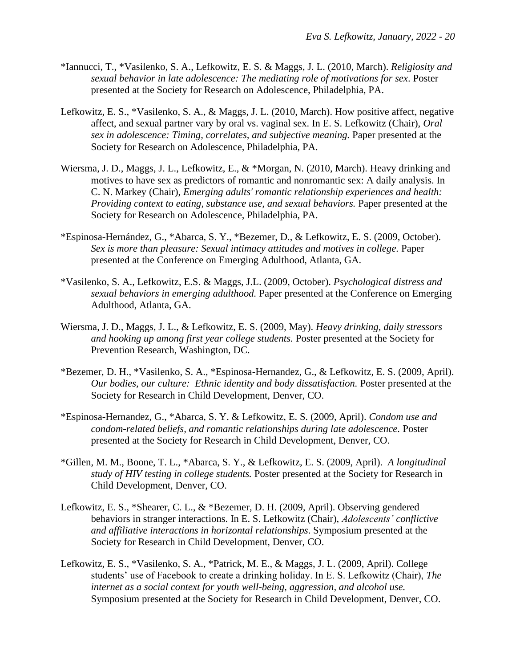- \*Iannucci, T., \*Vasilenko, S. A., Lefkowitz, E. S. & Maggs, J. L. (2010, March). *Religiosity and sexual behavior in late adolescence: The mediating role of motivations for sex*. Poster presented at the Society for Research on Adolescence, Philadelphia, PA.
- Lefkowitz, E. S., \*Vasilenko, S. A., & Maggs, J. L. (2010, March). How positive affect, negative affect, and sexual partner vary by oral vs. vaginal sex. In E. S. Lefkowitz (Chair), *Oral sex in adolescence: Timing, correlates, and subjective meaning.* Paper presented at the Society for Research on Adolescence, Philadelphia, PA.
- Wiersma, J. D., Maggs, J. L., Lefkowitz, E., & \*Morgan, N. (2010, March). Heavy drinking and motives to have sex as predictors of romantic and nonromantic sex: A daily analysis. In C. N. Markey (Chair), *Emerging adults' romantic relationship experiences and health: Providing context to eating, substance use, and sexual behaviors.* Paper presented at the Society for Research on Adolescence, Philadelphia, PA.
- \*Espinosa-Hernández, G., \*Abarca, S. Y., \*Bezemer, D., & Lefkowitz, E. S. (2009, October). *Sex is more than pleasure: Sexual intimacy attitudes and motives in college.* Paper presented at the Conference on Emerging Adulthood, Atlanta, GA.
- \*Vasilenko, S. A., Lefkowitz, E.S. & Maggs, J.L. (2009, October). *Psychological distress and sexual behaviors in emerging adulthood.* Paper presented at the Conference on Emerging Adulthood, Atlanta, GA.
- Wiersma, J. D., Maggs, J. L., & Lefkowitz, E. S. (2009, May). *Heavy drinking, daily stressors and hooking up among first year college students.* Poster presented at the Society for Prevention Research, Washington, DC.
- \*Bezemer, D. H., \*Vasilenko, S. A., \*Espinosa-Hernandez, G., & Lefkowitz, E. S. (2009, April). *Our bodies, our culture: Ethnic identity and body dissatisfaction.* Poster presented at the Society for Research in Child Development, Denver, CO.
- \*Espinosa-Hernandez, G., \*Abarca, S. Y. & Lefkowitz, E. S. (2009, April). *Condom use and condom-related beliefs, and romantic relationships during late adolescence.* Poster presented at the Society for Research in Child Development, Denver, CO.
- \*Gillen, M. M., Boone, T. L., \*Abarca, S. Y., & Lefkowitz, E. S. (2009, April). *A longitudinal study of HIV testing in college students.* Poster presented at the Society for Research in Child Development, Denver, CO.
- Lefkowitz, E. S., \*Shearer, C. L., & \*Bezemer, D. H. (2009, April). Observing gendered behaviors in stranger interactions. In E. S. Lefkowitz (Chair), *Adolescents' conflictive and affiliative interactions in horizontal relationships*. Symposium presented at the Society for Research in Child Development, Denver, CO.
- Lefkowitz, E. S., \*Vasilenko, S. A., \*Patrick, M. E., & Maggs, J. L. (2009, April). College students' use of Facebook to create a drinking holiday. In E. S. Lefkowitz (Chair), *The internet as a social context for youth well-being, aggression, and alcohol use.* Symposium presented at the Society for Research in Child Development, Denver, CO.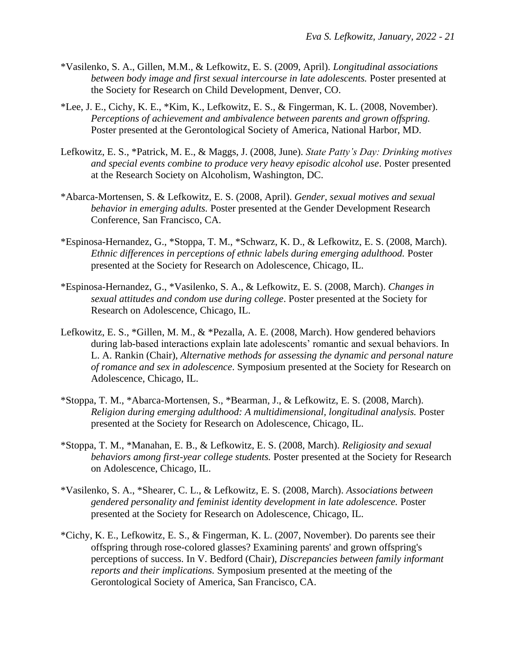- \*Vasilenko, S. A., Gillen, M.M., & Lefkowitz, E. S. (2009, April). *Longitudinal associations between body image and first sexual intercourse in late adolescents.* Poster presented at the Society for Research on Child Development, Denver, CO.
- \*Lee, J. E., Cichy, K. E., \*Kim, K., Lefkowitz, E. S., & Fingerman, K. L. (2008, November). *Perceptions of achievement and ambivalence between parents and grown offspring.* Poster presented at the Gerontological Society of America, National Harbor, MD.
- Lefkowitz, E. S., \*Patrick, M. E., & Maggs, J. (2008, June). *State Patty's Day: Drinking motives and special events combine to produce very heavy episodic alcohol use*. Poster presented at the Research Society on Alcoholism, Washington, DC.
- \*Abarca-Mortensen, S. & Lefkowitz, E. S. (2008, April). *Gender, sexual motives and sexual behavior in emerging adults.* Poster presented at the Gender Development Research Conference, San Francisco, CA.
- \*Espinosa-Hernandez, G., \*Stoppa, T. M., \*Schwarz, K. D., & Lefkowitz, E. S. (2008, March). *Ethnic differences in perceptions of ethnic labels during emerging adulthood.* Poster presented at the Society for Research on Adolescence, Chicago, IL.
- \*Espinosa-Hernandez, G., \*Vasilenko, S. A., & Lefkowitz, E. S. (2008, March). *Changes in sexual attitudes and condom use during college*. Poster presented at the Society for Research on Adolescence, Chicago, IL.
- Lefkowitz, E. S., \*Gillen, M. M., & \*Pezalla, A. E. (2008, March). How gendered behaviors during lab-based interactions explain late adolescents' romantic and sexual behaviors. In L. A. Rankin (Chair), *Alternative methods for assessing the dynamic and personal nature of romance and sex in adolescence*. Symposium presented at the Society for Research on Adolescence, Chicago, IL.
- \*Stoppa, T. M., \*Abarca-Mortensen, S., \*Bearman, J., & Lefkowitz, E. S. (2008, March). *Religion during emerging adulthood: A multidimensional, longitudinal analysis.* Poster presented at the Society for Research on Adolescence, Chicago, IL.
- \*Stoppa, T. M., \*Manahan, E. B., & Lefkowitz, E. S. (2008, March). *Religiosity and sexual behaviors among first-year college students.* Poster presented at the Society for Research on Adolescence, Chicago, IL.
- \*Vasilenko, S. A., \*Shearer, C. L., & Lefkowitz, E. S. (2008, March). *Associations between gendered personality and feminist identity development in late adolescence.* Poster presented at the Society for Research on Adolescence, Chicago, IL.
- \*Cichy, K. E., Lefkowitz, E. S., & Fingerman, K. L. (2007, November). Do parents see their offspring through rose-colored glasses? Examining parents' and grown offspring's perceptions of success. In V. Bedford (Chair), *Discrepancies between family informant reports and their implications.* Symposium presented at the meeting of the Gerontological Society of America, San Francisco, CA.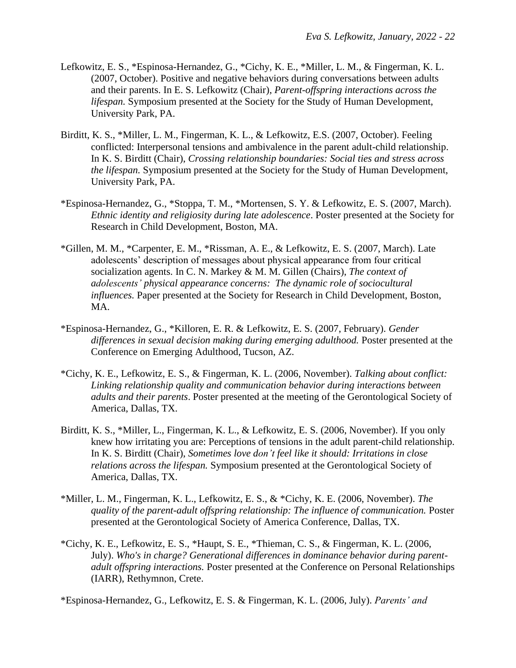- Lefkowitz, E. S., \*Espinosa-Hernandez, G., \*Cichy, K. E., \*Miller, L. M., & Fingerman, K. L. (2007, October). Positive and negative behaviors during conversations between adults and their parents. In E. S. Lefkowitz (Chair), *Parent-offspring interactions across the lifespan.* Symposium presented at the Society for the Study of Human Development, University Park, PA.
- Birditt, K. S., \*Miller, L. M., Fingerman, K. L., & Lefkowitz, E.S. (2007, October). Feeling conflicted: Interpersonal tensions and ambivalence in the parent adult-child relationship. In K. S. Birditt (Chair), *Crossing relationship boundaries: Social ties and stress across the lifespan.* Symposium presented at the Society for the Study of Human Development, University Park, PA.
- \*Espinosa-Hernandez, G., \*Stoppa, T. M., \*Mortensen, S. Y. & Lefkowitz, E. S. (2007, March). *Ethnic identity and religiosity during late adolescence*. Poster presented at the Society for Research in Child Development, Boston, MA.
- \*Gillen, M. M., \*Carpenter, E. M., \*Rissman, A. E., & Lefkowitz, E. S. (2007, March). Late adolescents' description of messages about physical appearance from four critical socialization agents. In C. N. Markey & M. M. Gillen (Chairs), *The context of adolescents' physical appearance concerns: The dynamic role of sociocultural influences.* Paper presented at the Society for Research in Child Development, Boston, MA.
- \*Espinosa-Hernandez, G., \*Killoren, E. R. & Lefkowitz, E. S. (2007, February). *Gender differences in sexual decision making during emerging adulthood.* Poster presented at the Conference on Emerging Adulthood, Tucson, AZ.
- \*Cichy, K. E., Lefkowitz, E. S., & Fingerman, K. L. (2006, November). *Talking about conflict: Linking relationship quality and communication behavior during interactions between adults and their parents*. Poster presented at the meeting of the Gerontological Society of America, Dallas, TX.
- Birditt, K. S., \*Miller, L., Fingerman, K. L., & Lefkowitz, E. S. (2006, November). If you only knew how irritating you are: Perceptions of tensions in the adult parent-child relationship. In K. S. Birditt (Chair), *Sometimes love don't feel like it should: Irritations in close relations across the lifespan.* Symposium presented at the Gerontological Society of America, Dallas, TX.
- \*Miller, L. M., Fingerman, K. L., Lefkowitz, E. S., & \*Cichy, K. E. (2006, November). *The quality of the parent-adult offspring relationship: The influence of communication.* Poster presented at the Gerontological Society of America Conference, Dallas, TX.
- \*Cichy, K. E., Lefkowitz, E. S., \*Haupt, S. E., \*Thieman, C. S., & Fingerman, K. L. (2006, July). *Who's in charge? Generational differences in dominance behavior during parentadult offspring interactions.* Poster presented at the Conference on Personal Relationships (IARR), Rethymnon, Crete.

\*Espinosa-Hernandez, G., Lefkowitz, E. S. & Fingerman, K. L. (2006, July). *Parents' and*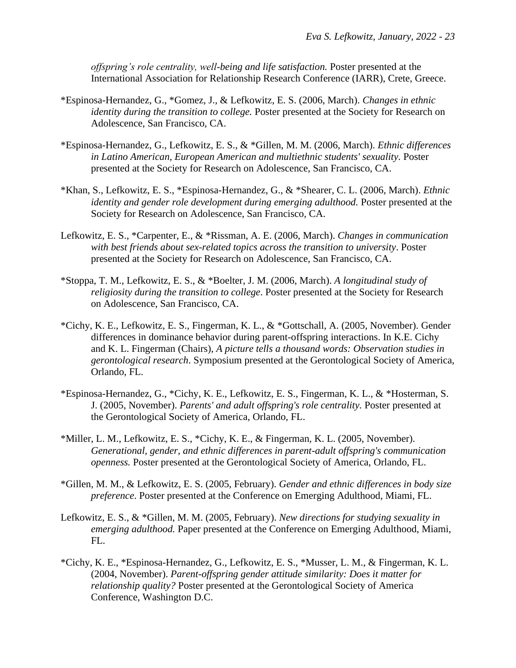*offspring's role centrality, well-being and life satisfaction.* Poster presented at the International Association for Relationship Research Conference (IARR), Crete, Greece.

- \*Espinosa-Hernandez, G., \*Gomez, J., & Lefkowitz, E. S. (2006, March). *Changes in ethnic identity during the transition to college.* Poster presented at the Society for Research on Adolescence, San Francisco, CA.
- \*Espinosa-Hernandez, G., Lefkowitz, E. S., & \*Gillen, M. M. (2006, March). *Ethnic differences in Latino American, European American and multiethnic students' sexuality.* Poster presented at the Society for Research on Adolescence, San Francisco, CA.
- \*Khan, S., Lefkowitz, E. S., \*Espinosa-Hernandez, G., & \*Shearer, C. L. (2006, March). *Ethnic identity and gender role development during emerging adulthood.* Poster presented at the Society for Research on Adolescence, San Francisco, CA.
- Lefkowitz, E. S., \*Carpenter, E., & \*Rissman, A. E. (2006, March). *Changes in communication with best friends about sex-related topics across the transition to university*. Poster presented at the Society for Research on Adolescence, San Francisco, CA.
- \*Stoppa, T. M., Lefkowitz, E. S., & \*Boelter, J. M. (2006, March). *A longitudinal study of religiosity during the transition to college*. Poster presented at the Society for Research on Adolescence, San Francisco, CA.
- \*Cichy, K. E., Lefkowitz, E. S., Fingerman, K. L., & \*Gottschall, A. (2005, November). Gender differences in dominance behavior during parent-offspring interactions. In K.E. Cichy and K. L. Fingerman (Chairs), *A picture tells a thousand words: Observation studies in gerontological research*. Symposium presented at the Gerontological Society of America, Orlando, FL.
- \*Espinosa-Hernandez, G., \*Cichy, K. E., Lefkowitz, E. S., Fingerman, K. L., & \*Hosterman, S. J. (2005, November). *Parents' and adult offspring's role centrality.* Poster presented at the Gerontological Society of America, Orlando, FL.
- \*Miller, L. M., Lefkowitz, E. S., \*Cichy, K. E., & Fingerman, K. L. (2005, November). *Generational, gender, and ethnic differences in parent-adult offspring's communication openness.* Poster presented at the Gerontological Society of America, Orlando, FL.
- \*Gillen, M. M., & Lefkowitz, E. S. (2005, February). *Gender and ethnic differences in body size preference*. Poster presented at the Conference on Emerging Adulthood, Miami, FL.
- Lefkowitz, E. S., & \*Gillen, M. M. (2005, February). *New directions for studying sexuality in emerging adulthood.* Paper presented at the Conference on Emerging Adulthood, Miami, FL.
- \*Cichy, K. E., \*Espinosa-Hernandez, G., Lefkowitz, E. S., \*Musser, L. M., & Fingerman, K. L. (2004, November). *Parent-offspring gender attitude similarity: Does it matter for relationship quality?* Poster presented at the Gerontological Society of America Conference, Washington D.C.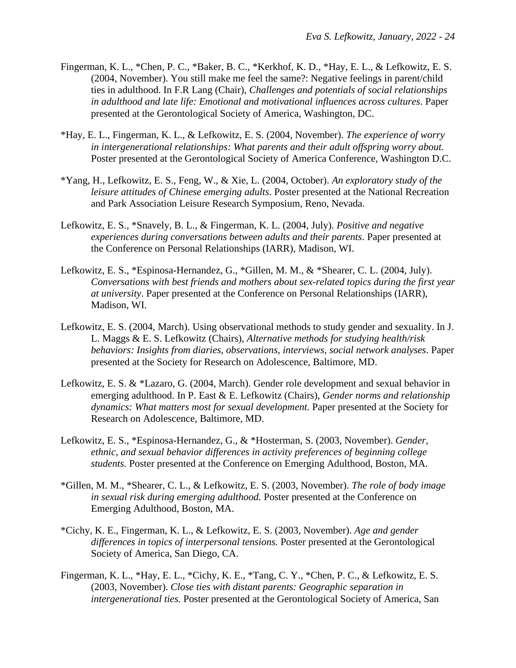- Fingerman, K. L., \*Chen, P. C., \*Baker, B. C., \*Kerkhof, K. D., \*Hay, E. L., & Lefkowitz, E. S. (2004, November). You still make me feel the same?: Negative feelings in parent/child ties in adulthood. In F.R Lang (Chair), *Challenges and potentials of social relationships in adulthood and late life: Emotional and motivational influences across cultures*. Paper presented at the Gerontological Society of America, Washington, DC.
- \*Hay, E. L., Fingerman, K. L., & Lefkowitz, E. S. (2004, November). *The experience of worry in intergenerational relationships: What parents and their adult offspring worry about.* Poster presented at the Gerontological Society of America Conference, Washington D.C.
- \*Yang, H., Lefkowitz, E. S., Feng, W., & Xie, L. (2004, October). *An exploratory study of the leisure attitudes of Chinese emerging adults*. Poster presented at the National Recreation and Park Association Leisure Research Symposium, Reno, Nevada.
- Lefkowitz, E. S., \*Snavely, B. L., & Fingerman, K. L. (2004, July). *Positive and negative experiences during conversations between adults and their parents*. Paper presented at the Conference on Personal Relationships (IARR), Madison, WI.
- Lefkowitz, E. S., \*Espinosa-Hernandez, G., \*Gillen, M. M., & \*Shearer, C. L. (2004, July). *Conversations with best friends and mothers about sex-related topics during the first year at university*. Paper presented at the Conference on Personal Relationships (IARR), Madison, WI.
- Lefkowitz, E. S. (2004, March). Using observational methods to study gender and sexuality. In J. L. Maggs & E. S. Lefkowitz (Chairs), *Alternative methods for studying health/risk behaviors: Insights from diaries, observations, interviews, social network analyses*. Paper presented at the Society for Research on Adolescence, Baltimore, MD.
- Lefkowitz, E. S. & \*Lazaro, G. (2004, March). Gender role development and sexual behavior in emerging adulthood. In P. East & E. Lefkowitz (Chairs), *Gender norms and relationship dynamics: What matters most for sexual development.* Paper presented at the Society for Research on Adolescence, Baltimore, MD.
- Lefkowitz, E. S., \*Espinosa-Hernandez, G., & \*Hosterman, S. (2003, November). *Gender, ethnic, and sexual behavior differences in activity preferences of beginning college students.* Poster presented at the Conference on Emerging Adulthood, Boston, MA.
- \*Gillen, M. M., \*Shearer, C. L., & Lefkowitz, E. S. (2003, November). *The role of body image in sexual risk during emerging adulthood.* Poster presented at the Conference on Emerging Adulthood, Boston, MA.
- \*Cichy, K. E., Fingerman, K. L., & Lefkowitz, E. S. (2003, November). *Age and gender differences in topics of interpersonal tensions.* Poster presented at the Gerontological Society of America, San Diego, CA.
- Fingerman, K. L., \*Hay, E. L., \*Cichy, K. E., \*Tang, C. Y., \*Chen, P. C., & Lefkowitz, E. S. (2003, November). *Close ties with distant parents: Geographic separation in intergenerational ties.* Poster presented at the Gerontological Society of America, San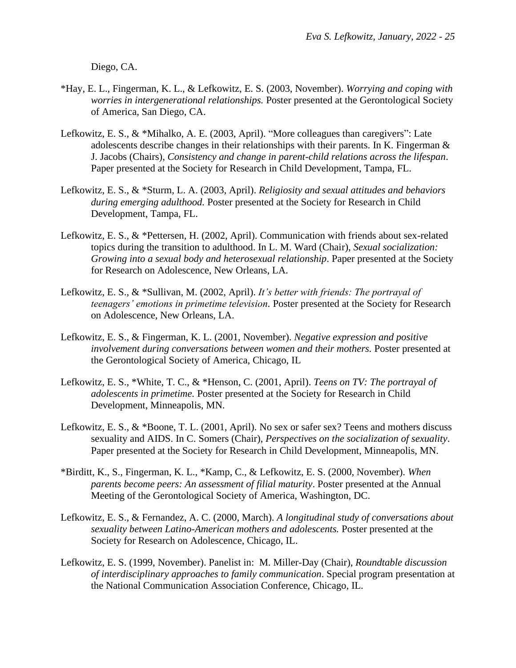Diego, CA.

- \*Hay, E. L., Fingerman, K. L., & Lefkowitz, E. S. (2003, November). *Worrying and coping with worries in intergenerational relationships.* Poster presented at the Gerontological Society of America, San Diego, CA.
- Lefkowitz, E. S., & \*Mihalko, A. E. (2003, April). "More colleagues than caregivers": Late adolescents describe changes in their relationships with their parents. In K. Fingerman & J. Jacobs (Chairs), *Consistency and change in parent-child relations across the lifespan*. Paper presented at the Society for Research in Child Development, Tampa, FL.
- Lefkowitz, E. S., & \*Sturm, L. A. (2003, April). *Religiosity and sexual attitudes and behaviors during emerging adulthood.* Poster presented at the Society for Research in Child Development, Tampa, FL.
- Lefkowitz, E. S., & \*Pettersen, H. (2002, April). Communication with friends about sex-related topics during the transition to adulthood. In L. M. Ward (Chair), *Sexual socialization: Growing into a sexual body and heterosexual relationship*. Paper presented at the Society for Research on Adolescence, New Orleans, LA.
- Lefkowitz, E. S., & \*Sullivan, M. (2002, April). *It's better with friends: The portrayal of teenagers' emotions in primetime television.* Poster presented at the Society for Research on Adolescence, New Orleans, LA.
- Lefkowitz, E. S., & Fingerman, K. L. (2001, November). *Negative expression and positive involvement during conversations between women and their mothers.* Poster presented at the Gerontological Society of America, Chicago, IL
- Lefkowitz, E. S., \*White, T. C., & \*Henson, C. (2001, April). *Teens on TV: The portrayal of adolescents in primetime.* Poster presented at the Society for Research in Child Development, Minneapolis, MN.
- Lefkowitz, E. S., & \*Boone, T. L. (2001, April). No sex or safer sex? Teens and mothers discuss sexuality and AIDS. In C. Somers (Chair), *Perspectives on the socialization of sexuality*. Paper presented at the Society for Research in Child Development, Minneapolis, MN.
- \*Birditt, K., S., Fingerman, K. L., \*Kamp, C., & Lefkowitz, E. S. (2000, November). *When parents become peers: An assessment of filial maturity*. Poster presented at the Annual Meeting of the Gerontological Society of America, Washington, DC.
- Lefkowitz, E. S., & Fernandez, A. C. (2000, March). *A longitudinal study of conversations about sexuality between Latino-American mothers and adolescents.* Poster presented at the Society for Research on Adolescence, Chicago, IL.
- Lefkowitz, E. S. (1999, November). Panelist in: M. Miller-Day (Chair), *Roundtable discussion of interdisciplinary approaches to family communication*. Special program presentation at the National Communication Association Conference, Chicago, IL.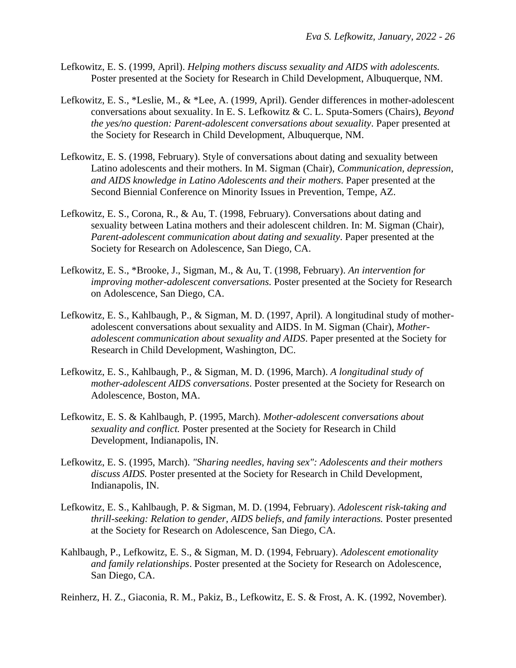- Lefkowitz, E. S. (1999, April). *Helping mothers discuss sexuality and AIDS with adolescents.*  Poster presented at the Society for Research in Child Development, Albuquerque, NM.
- Lefkowitz, E. S., \*Leslie, M., & \*Lee, A. (1999, April). Gender differences in mother-adolescent conversations about sexuality. In E. S. Lefkowitz & C. L. Sputa-Somers (Chairs), *Beyond the yes/no question: Parent-adolescent conversations about sexuality*. Paper presented at the Society for Research in Child Development, Albuquerque, NM.
- Lefkowitz, E. S. (1998, February). Style of conversations about dating and sexuality between Latino adolescents and their mothers. In M. Sigman (Chair), *Communication, depression, and AIDS knowledge in Latino Adolescents and their mothers*. Paper presented at the Second Biennial Conference on Minority Issues in Prevention, Tempe, AZ.
- Lefkowitz, E. S., Corona, R., & Au, T. (1998, February). Conversations about dating and sexuality between Latina mothers and their adolescent children. In: M. Sigman (Chair), *Parent-adolescent communication about dating and sexuality*. Paper presented at the Society for Research on Adolescence, San Diego, CA.
- Lefkowitz, E. S., \*Brooke, J., Sigman, M., & Au, T. (1998, February). *An intervention for improving mother-adolescent conversations.* Poster presented at the Society for Research on Adolescence, San Diego, CA.
- Lefkowitz, E. S., Kahlbaugh, P., & Sigman, M. D. (1997, April). A longitudinal study of motheradolescent conversations about sexuality and AIDS. In M. Sigman (Chair), *Motheradolescent communication about sexuality and AIDS*. Paper presented at the Society for Research in Child Development, Washington, DC.
- Lefkowitz, E. S., Kahlbaugh, P., & Sigman, M. D. (1996, March). *A longitudinal study of mother-adolescent AIDS conversations*. Poster presented at the Society for Research on Adolescence, Boston, MA.
- Lefkowitz, E. S. & Kahlbaugh, P. (1995, March). *Mother-adolescent conversations about sexuality and conflict.* Poster presented at the Society for Research in Child Development, Indianapolis, IN.
- Lefkowitz, E. S. (1995, March). *"Sharing needles, having sex": Adolescents and their mothers discuss AIDS.* Poster presented at the Society for Research in Child Development, Indianapolis, IN.
- Lefkowitz, E. S., Kahlbaugh, P. & Sigman, M. D. (1994, February). *Adolescent risk-taking and thrill-seeking: Relation to gender, AIDS beliefs, and family interactions.* Poster presented at the Society for Research on Adolescence, San Diego, CA.
- Kahlbaugh, P., Lefkowitz, E. S., & Sigman, M. D. (1994, February). *Adolescent emotionality and family relationships*. Poster presented at the Society for Research on Adolescence, San Diego, CA.

Reinherz, H. Z., Giaconia, R. M., Pakiz, B., Lefkowitz, E. S. & Frost, A. K. (1992, November).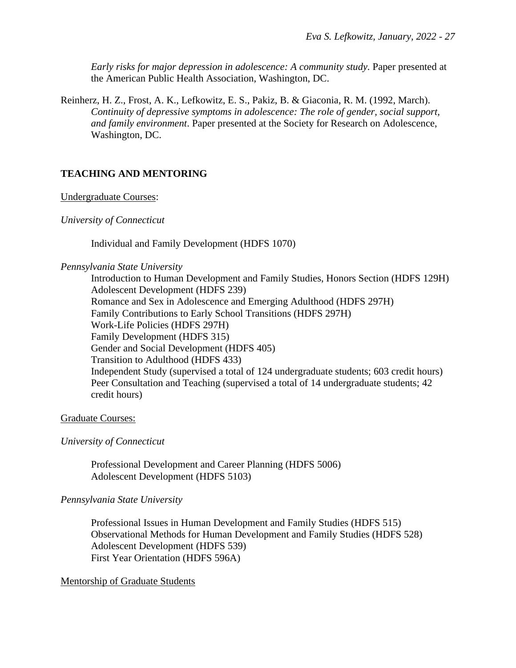*Early risks for major depression in adolescence: A community study.* Paper presented at the American Public Health Association, Washington, DC.

Reinherz, H. Z., Frost, A. K., Lefkowitz, E. S., Pakiz, B. & Giaconia, R. M. (1992, March). *Continuity of depressive symptoms in adolescence: The role of gender, social support, and family environment*. Paper presented at the Society for Research on Adolescence, Washington, DC.

# **TEACHING AND MENTORING**

Undergraduate Courses:

#### *University of Connecticut*

Individual and Family Development (HDFS 1070)

#### *Pennsylvania State University*

Introduction to Human Development and Family Studies, Honors Section (HDFS 129H) Adolescent Development (HDFS 239) Romance and Sex in Adolescence and Emerging Adulthood (HDFS 297H) Family Contributions to Early School Transitions (HDFS 297H) Work-Life Policies (HDFS 297H) Family Development (HDFS 315) Gender and Social Development (HDFS 405) Transition to Adulthood (HDFS 433) Independent Study (supervised a total of 124 undergraduate students; 603 credit hours) Peer Consultation and Teaching (supervised a total of 14 undergraduate students; 42 credit hours)

#### Graduate Courses:

#### *University of Connecticut*

Professional Development and Career Planning (HDFS 5006) Adolescent Development (HDFS 5103)

#### *Pennsylvania State University*

Professional Issues in Human Development and Family Studies (HDFS 515) Observational Methods for Human Development and Family Studies (HDFS 528) Adolescent Development (HDFS 539) First Year Orientation (HDFS 596A)

## Mentorship of Graduate Students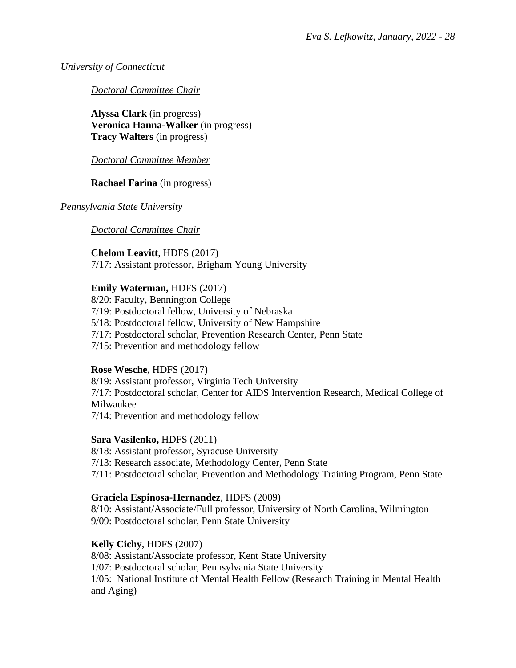*University of Connecticut*

*Doctoral Committee Chair* 

**Alyssa Clark** (in progress) **Veronica Hanna-Walker** (in progress) **Tracy Walters** (in progress)

*Doctoral Committee Member*

**Rachael Farina** (in progress)

*Pennsylvania State University*

*Doctoral Committee Chair*

**Chelom Leavitt**, HDFS (2017)

7/17: Assistant professor, Brigham Young University

# **Emily Waterman, HDFS (2017)**

8/20: Faculty, Bennington College 7/19: Postdoctoral fellow, University of Nebraska 5/18: Postdoctoral fellow, University of New Hampshire 7/17: Postdoctoral scholar, Prevention Research Center, Penn State 7/15: Prevention and methodology fellow

# **Rose Wesche**, HDFS (2017)

8/19: Assistant professor, Virginia Tech University 7/17: Postdoctoral scholar, Center for AIDS Intervention Research, Medical College of Milwaukee 7/14: Prevention and methodology fellow

**Sara Vasilenko,** HDFS (2011)

8/18: Assistant professor, Syracuse University

7/13: Research associate, Methodology Center, Penn State

7/11: Postdoctoral scholar, Prevention and Methodology Training Program, Penn State

# **Graciela Espinosa-Hernandez**, HDFS (2009)

8/10: Assistant/Associate/Full professor, University of North Carolina, Wilmington 9/09: Postdoctoral scholar, Penn State University

# **Kelly Cichy**, HDFS (2007)

8/08: Assistant/Associate professor, Kent State University

1/07: Postdoctoral scholar, Pennsylvania State University

1/05: National Institute of Mental Health Fellow (Research Training in Mental Health and Aging)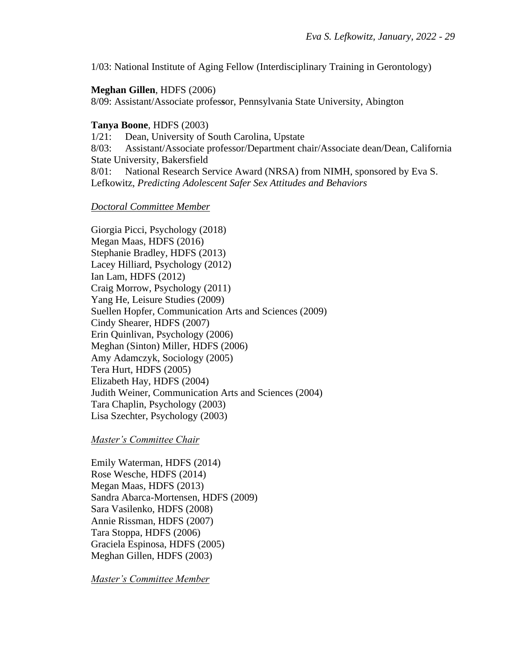1/03: National Institute of Aging Fellow (Interdisciplinary Training in Gerontology)

#### **Meghan Gillen**, HDFS (2006)

8/09: Assistant/Associate profes**s**or, Pennsylvania State University, Abington

### **Tanya Boone**, HDFS (2003)

1/21: Dean, University of South Carolina, Upstate

8/03: Assistant/Associate professor/Department chair/Associate dean/Dean, California State University, Bakersfield

8/01: National Research Service Award (NRSA) from NIMH, sponsored by Eva S. Lefkowitz, *Predicting Adolescent Safer Sex Attitudes and Behaviors*

#### *Doctoral Committee Member*

Giorgia Picci, Psychology (2018) Megan Maas, HDFS (2016) Stephanie Bradley, HDFS (2013) Lacey Hilliard, Psychology (2012) Ian Lam, HDFS (2012) Craig Morrow, Psychology (2011) Yang He, Leisure Studies (2009) Suellen Hopfer, Communication Arts and Sciences (2009) Cindy Shearer, HDFS (2007) Erin Quinlivan, Psychology (2006) Meghan (Sinton) Miller, HDFS (2006) Amy Adamczyk, Sociology (2005) Tera Hurt, HDFS (2005) Elizabeth Hay, HDFS (2004) Judith Weiner, Communication Arts and Sciences (2004) Tara Chaplin, Psychology (2003) Lisa Szechter, Psychology (2003)

*Master's Committee Chair*

Emily Waterman, HDFS (2014) Rose Wesche, HDFS (2014) Megan Maas, HDFS (2013) Sandra Abarca-Mortensen, HDFS (2009) Sara Vasilenko, HDFS (2008) Annie Rissman, HDFS (2007) Tara Stoppa, HDFS (2006) Graciela Espinosa, HDFS (2005) Meghan Gillen, HDFS (2003)

*Master's Committee Member*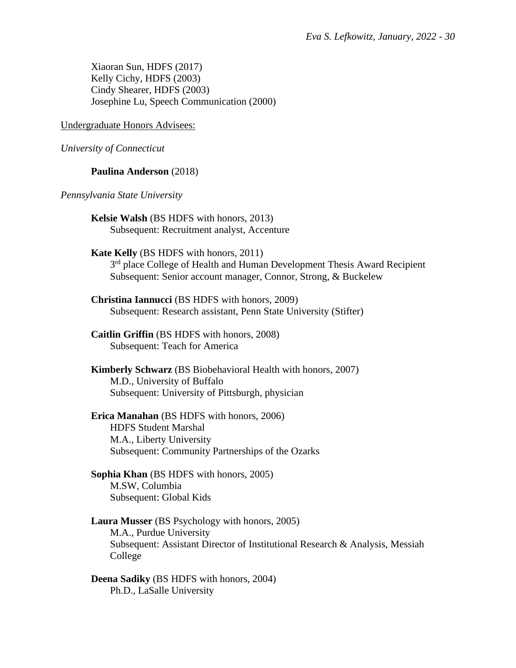Xiaoran Sun, HDFS (2017) Kelly Cichy, HDFS (2003) Cindy Shearer, HDFS (2003) Josephine Lu, Speech Communication (2000)

#### Undergraduate Honors Advisees:

*University of Connecticut*

### **Paulina Anderson** (2018)

#### *Pennsylvania State University*

**Kelsie Walsh** (BS HDFS with honors, 2013) Subsequent: Recruitment analyst, Accenture

#### **Kate Kelly** (BS HDFS with honors, 2011)

3<sup>rd</sup> place College of Health and Human Development Thesis Award Recipient Subsequent: Senior account manager, Connor, Strong, & Buckelew

**Christina Iannucci** (BS HDFS with honors, 2009) Subsequent: Research assistant, Penn State University (Stifter)

**Caitlin Griffin** (BS HDFS with honors, 2008) Subsequent: Teach for America

**Kimberly Schwarz** (BS Biobehavioral Health with honors, 2007) M.D., University of Buffalo Subsequent: University of Pittsburgh, physician

**Erica Manahan** (BS HDFS with honors, 2006) HDFS Student Marshal M.A., Liberty University Subsequent: Community Partnerships of the Ozarks

**Sophia Khan** (BS HDFS with honors, 2005) M.SW, Columbia Subsequent: Global Kids

## **Laura Musser** (BS Psychology with honors, 2005) M.A., Purdue University Subsequent: Assistant Director of Institutional Research & Analysis, Messiah College

**Deena Sadiky** (BS HDFS with honors, 2004) Ph.D., LaSalle University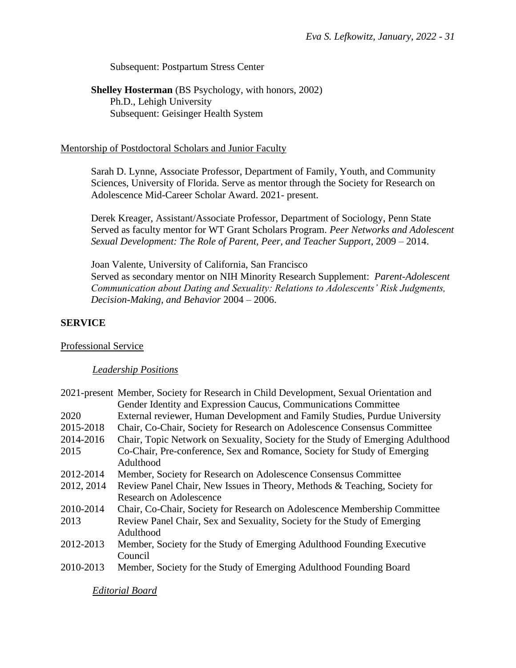Subsequent: Postpartum Stress Center

**Shelley Hosterman** (BS Psychology, with honors, 2002) Ph.D., Lehigh University Subsequent: Geisinger Health System

#### Mentorship of Postdoctoral Scholars and Junior Faculty

Sarah D. Lynne, Associate Professor, Department of Family, Youth, and Community Sciences, University of Florida. Serve as mentor through the Society for Research on Adolescence Mid-Career Scholar Award. 2021- present.

Derek Kreager, Assistant/Associate Professor, Department of Sociology, Penn State Served as faculty mentor for WT Grant Scholars Program. *Peer Networks and Adolescent Sexual Development: The Role of Parent, Peer, and Teacher Support*, 2009 – 2014.

Joan Valente, University of California, San Francisco Served as secondary mentor on NIH Minority Research Supplement: *Parent-Adolescent Communication about Dating and Sexuality: Relations to Adolescents' Risk Judgments, Decision-Making, and Behavior* 2004 – 2006.

#### **SERVICE**

Professional Service

#### *Leadership Positions*

|            | 2021-present Member, Society for Research in Child Development, Sexual Orientation and |
|------------|----------------------------------------------------------------------------------------|
|            | Gender Identity and Expression Caucus, Communications Committee                        |
| 2020       | External reviewer, Human Development and Family Studies, Purdue University             |
| 2015-2018  | Chair, Co-Chair, Society for Research on Adolescence Consensus Committee               |
| 2014-2016  | Chair, Topic Network on Sexuality, Society for the Study of Emerging Adulthood         |
| 2015       | Co-Chair, Pre-conference, Sex and Romance, Society for Study of Emerging               |
|            | Adulthood                                                                              |
| 2012-2014  | Member, Society for Research on Adolescence Consensus Committee                        |
| 2012, 2014 | Review Panel Chair, New Issues in Theory, Methods & Teaching, Society for              |
|            | <b>Research on Adolescence</b>                                                         |
| 2010-2014  | Chair, Co-Chair, Society for Research on Adolescence Membership Committee              |
| 2013       | Review Panel Chair, Sex and Sexuality, Society for the Study of Emerging               |
|            | Adulthood                                                                              |
| 2012-2013  | Member, Society for the Study of Emerging Adulthood Founding Executive                 |
|            | Council                                                                                |
| 2010-2013  | Member, Society for the Study of Emerging Adulthood Founding Board                     |
|            |                                                                                        |

*Editorial Board*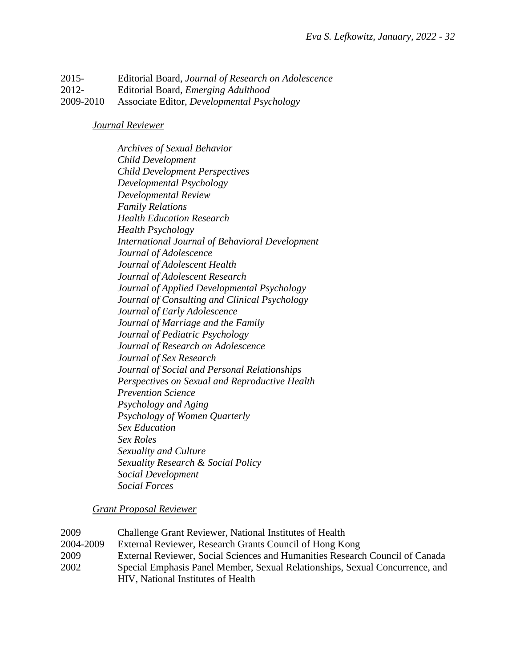2015- Editorial Board, *Journal of Research on Adolescence* 2012- Editorial Board*, Emerging Adulthood* 2009-2010 Associate Editor, *Developmental Psychology*

*Journal Reviewer*

*Archives of Sexual Behavior Child Development Child Development Perspectives Developmental Psychology Developmental Review Family Relations Health Education Research Health Psychology International Journal of Behavioral Development Journal of Adolescence Journal of Adolescent Health Journal of Adolescent Research Journal of Applied Developmental Psychology Journal of Consulting and Clinical Psychology Journal of Early Adolescence Journal of Marriage and the Family Journal of Pediatric Psychology Journal of Research on Adolescence Journal of Sex Research Journal of Social and Personal Relationships Perspectives on Sexual and Reproductive Health Prevention Science Psychology and Aging Psychology of Women Quarterly Sex Education Sex Roles Sexuality and Culture Sexuality Research & Social Policy Social Development Social Forces*

*Grant Proposal Reviewer*

2009 Challenge Grant Reviewer, National Institutes of Health 2004-2009 External Reviewer, Research Grants Council of Hong Kong 2009 External Reviewer, Social Sciences and Humanities Research Council of Canada 2002 Special Emphasis Panel Member, Sexual Relationships, Sexual Concurrence, and HIV, National Institutes of Health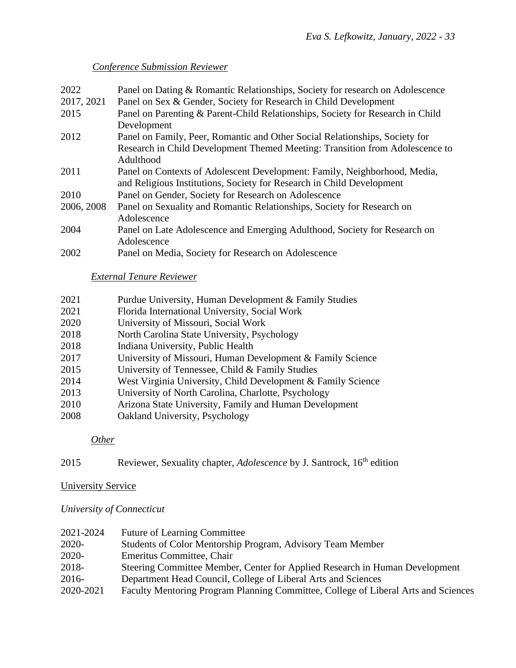# *Conference Submission Reviewer*

| 2022       | Panel on Dating & Romantic Relationships, Society for research on Adolescence  |
|------------|--------------------------------------------------------------------------------|
| 2017, 2021 | Panel on Sex & Gender, Society for Research in Child Development               |
| 2015       | Panel on Parenting & Parent-Child Relationships, Society for Research in Child |
|            | Development                                                                    |
| 2012       | Panel on Family, Peer, Romantic and Other Social Relationships, Society for    |
|            | Research in Child Development Themed Meeting: Transition from Adolescence to   |
|            | Adulthood                                                                      |
| 2011       | Panel on Contexts of Adolescent Development: Family, Neighborhood, Media,      |
|            | and Religious Institutions, Society for Research in Child Development          |
| 2010       | Panel on Gender, Society for Research on Adolescence                           |
| 2006, 2008 | Panel on Sexuality and Romantic Relationships, Society for Research on         |
|            | Adolescence                                                                    |
| 2004       | Panel on Late Adolescence and Emerging Adulthood, Society for Research on      |
|            | Adolescence                                                                    |
| 2002       | Panel on Media, Society for Research on Adolescence                            |

## *External Tenure Reviewer*

| 2021 | Purdue University, Human Development & Family Studies |
|------|-------------------------------------------------------|
|------|-------------------------------------------------------|

- 2021 Florida International University, Social Work
- 2020 University of Missouri, Social Work
- 2018 North Carolina State University, Psychology
- 2018 Indiana University, Public Health
- 2017 University of Missouri, Human Development & Family Science
- 2015 University of Tennessee, Child & Family Studies
- 2014 West Virginia University, Child Development & Family Science
- 2013 University of North Carolina, Charlotte, Psychology
- 2010 Arizona State University, Family and Human Development
- 2008 Oakland University, Psychology

## *Other*

2015 Reviewer, Sexuality chapter, *Adolescence* by J. Santrock, 16<sup>th</sup> edition

## University Service

*University of Connecticut*

| 2021-2024 | <b>Future of Learning Committee</b>                                                |
|-----------|------------------------------------------------------------------------------------|
| $2020 -$  | Students of Color Mentorship Program, Advisory Team Member                         |
| $2020 -$  | Emeritus Committee, Chair                                                          |
| 2018-     | Steering Committee Member, Center for Applied Research in Human Development        |
| 2016-     | Department Head Council, College of Liberal Arts and Sciences                      |
| 2020-2021 | Faculty Mentoring Program Planning Committee, College of Liberal Arts and Sciences |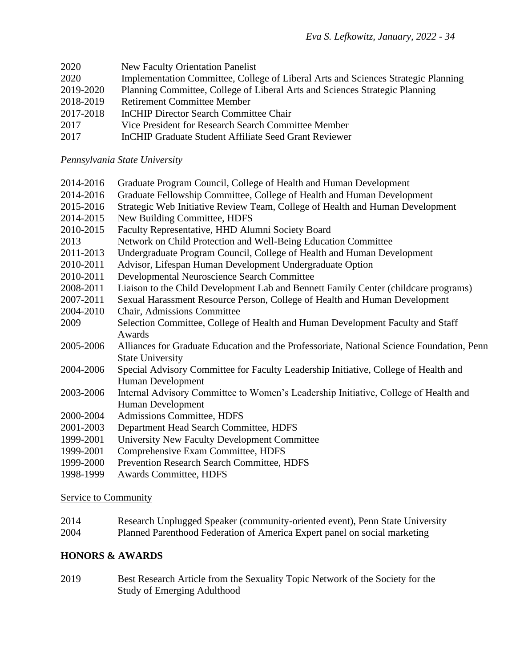| 2020      | <b>New Faculty Orientation Panelist</b>                                           |
|-----------|-----------------------------------------------------------------------------------|
| 2020      | Implementation Committee, College of Liberal Arts and Sciences Strategic Planning |
| 2019-2020 | Planning Committee, College of Liberal Arts and Sciences Strategic Planning       |
| 2018-2019 | <b>Retirement Committee Member</b>                                                |
| 2017-2018 | InCHIP Director Search Committee Chair                                            |
| 2017      | Vice President for Research Search Committee Member                               |
| 2017      | InCHIP Graduate Student Affiliate Seed Grant Reviewer                             |

# *Pennsylvania State University*

| 2014-2016 | Graduate Program Council, College of Health and Human Development                         |
|-----------|-------------------------------------------------------------------------------------------|
| 2014-2016 | Graduate Fellowship Committee, College of Health and Human Development                    |
| 2015-2016 | Strategic Web Initiative Review Team, College of Health and Human Development             |
| 2014-2015 | New Building Committee, HDFS                                                              |
| 2010-2015 | Faculty Representative, HHD Alumni Society Board                                          |
| 2013      | Network on Child Protection and Well-Being Education Committee                            |
| 2011-2013 | Undergraduate Program Council, College of Health and Human Development                    |
| 2010-2011 | Advisor, Lifespan Human Development Undergraduate Option                                  |
| 2010-2011 | Developmental Neuroscience Search Committee                                               |
| 2008-2011 | Liaison to the Child Development Lab and Bennett Family Center (childcare programs)       |
| 2007-2011 | Sexual Harassment Resource Person, College of Health and Human Development                |
| 2004-2010 | Chair, Admissions Committee                                                               |
| 2009      | Selection Committee, College of Health and Human Development Faculty and Staff            |
|           | Awards                                                                                    |
| 2005-2006 | Alliances for Graduate Education and the Professoriate, National Science Foundation, Penn |
|           | <b>State University</b>                                                                   |
| 2004-2006 | Special Advisory Committee for Faculty Leadership Initiative, College of Health and       |
|           | Human Development                                                                         |
| 2003-2006 | Internal Advisory Committee to Women's Leadership Initiative, College of Health and       |
|           | Human Development                                                                         |
| 2000-2004 | <b>Admissions Committee, HDFS</b>                                                         |
| 2001-2003 | Department Head Search Committee, HDFS                                                    |
| 1999-2001 | University New Faculty Development Committee                                              |
| 1999-2001 | Comprehensive Exam Committee, HDFS                                                        |
| 1999-2000 | Prevention Research Search Committee, HDFS                                                |

1998-1999 Awards Committee, HDFS

# Service to Community

| 2014 | Research Unplugged Speaker (community-oriented event), Penn State University |
|------|------------------------------------------------------------------------------|
| 2004 | Planned Parenthood Federation of America Expert panel on social marketing    |

# **HONORS & AWARDS**

2019 Best Research Article from the Sexuality Topic Network of the Society for the Study of Emerging Adulthood